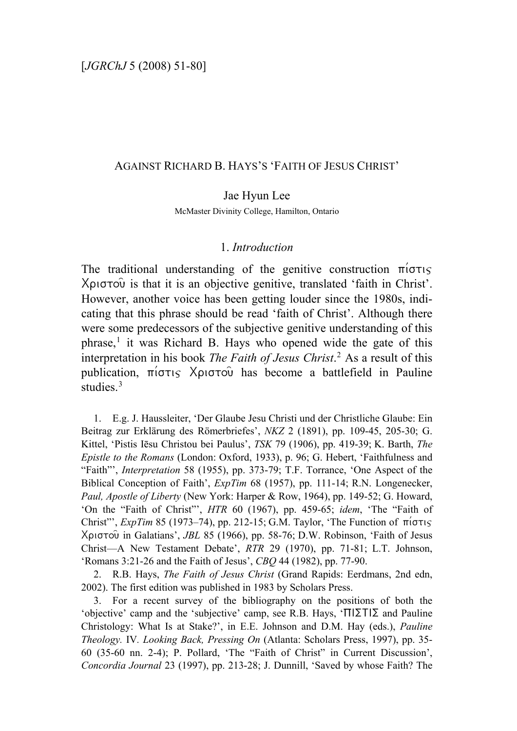#### AGAINST RICHARD B. HAYS'S 'FAITH OF JESUS CHRIST'

#### Jae Hyun Lee

McMaster Divinity College, Hamilton, Ontario

### 1. *Introduction*

The traditional understanding of the genitive construction  $\pi$ io $\tau$ is  $X$ ριστού is that it is an objective genitive, translated 'faith in Christ'. However, another voice has been getting louder since the 1980s, indicating that this phrase should be read 'faith of Christ'. Although there were some predecessors of the subjective genitive understanding of this  $phrase<sup>1</sup>$  $phrase<sup>1</sup>$  $phrase<sup>1</sup>$  it was Richard B. Hays who opened wide the gate of this interpretation in his book *The Faith of Jesus Christ*. [2](#page-0-1) As a result of this publication,  $\pi$ i $\sigma\tau$ <sub>i</sub> X $\rho$ <sub>i</sub> $\sigma\tau$ o has become a battlefield in Pauline studies.<sup>[3](#page-0-2)</sup>

<span id="page-0-0"></span>1. E.g. J. Haussleiter, 'Der Glaube Jesu Christi und der Christliche Glaube: Ein Beitrag zur Erklärung des Römerbriefes', *NKZ* 2 (1891), pp. 109-45, 205-30; G. Kittel, 'Pistis Iēsu Christou bei Paulus', *TSK* 79 (1906), pp. 419-39; K. Barth, *The Epistle to the Romans* (London: Oxford, 1933), p. 96; G. Hebert, 'Faithfulness and "Faith"', *Interpretation* 58 (1955), pp. 373-79; T.F. Torrance, 'One Aspect of the Biblical Conception of Faith', *ExpTim* 68 (1957), pp. 111-14; R.N. Longenecker, *Paul, Apostle of Liberty* (New York: Harper & Row, 1964), pp. 149-52; G. Howard, 'On the "Faith of Christ"', *HTR* 60 (1967), pp. 459-65; *idem*, 'The "Faith of Christ"', *ExpTim* 85 (1973–74), pp. 212-15; G.M. Taylor, 'The Function of  $\pi$ i $\sigma\tau$ <sub>15</sub> Xristou~ in Galatians', *JBL* 85 (1966), pp. 58-76; D.W. Robinson, 'Faith of Jesus Christ—A New Testament Debate', *RTR* 29 (1970), pp. 71-81; L.T. Johnson, 'Romans 3:21-26 and the Faith of Jesus', *CBQ* 44 (1982), pp. 77-90.

<span id="page-0-1"></span>2. R.B. Hays, *The Faith of Jesus Christ* (Grand Rapids: Eerdmans, 2nd edn, 2002). The first edition was published in 1983 by Scholars Press.

<span id="page-0-2"></span>3. For a recent survey of the bibliography on the positions of both the 'objective' camp and the 'subjective' camp, see R.B. Hays, ' $\Pi$ | $\Sigma$ T| $\Sigma$  and Pauline Christology: What Is at Stake?', in E.E. Johnson and D.M. Hay (eds.), *Pauline Theology.* IV*. Looking Back, Pressing On* (Atlanta: Scholars Press, 1997), pp. 35- 60 (35-60 nn. 2-4); P. Pollard, 'The "Faith of Christ" in Current Discussion', *Concordia Journal* 23 (1997), pp. 213-28; J. Dunnill, 'Saved by whose Faith? The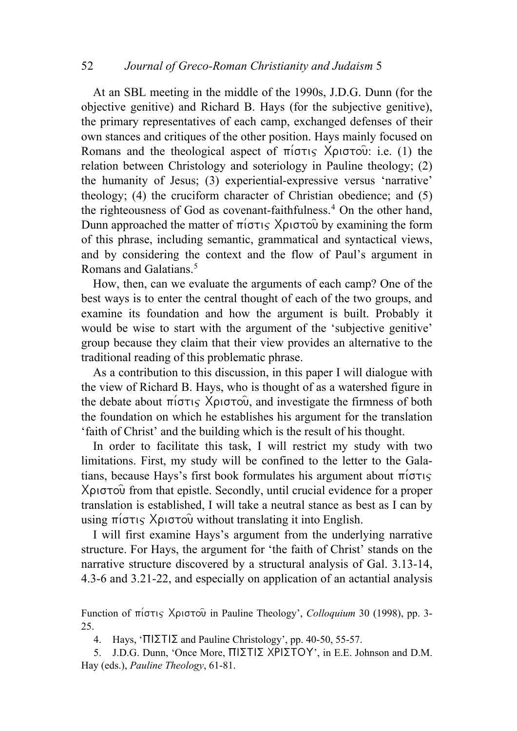At an SBL meeting in the middle of the 1990s, J.D.G. Dunn (for the objective genitive) and Richard B. Hays (for the subjective genitive), the primary representatives of each camp, exchanged defenses of their own stances and critiques of the other position. Hays mainly focused on Romans and the theological aspect of  $\pi$ i $\sigma\tau$  X $\rho$ <sub>i</sub> $\sigma\sigma\tilde{\nu}$ : i.e. (1) the relation between Christology and soteriology in Pauline theology; (2) the humanity of Jesus; (3) experiential-expressive versus 'narrative' theology; (4) the cruciform character of Christian obedience; and (5) the righteousness of God as covenant-faithfulness.<sup>[4](#page-1-0)</sup> On the other hand, Dunn approached the matter of  $\pi(\sigma\tau)$  X $\rho\sigma\sigma\tilde{\omega}$  by examining the form of this phrase, including semantic, grammatical and syntactical views, and by considering the context and the flow of Paul's argument in Romans and Galatians.<sup>[5](#page-1-1)</sup>

How, then, can we evaluate the arguments of each camp? One of the best ways is to enter the central thought of each of the two groups, and examine its foundation and how the argument is built. Probably it would be wise to start with the argument of the 'subjective genitive' group because they claim that their view provides an alternative to the traditional reading of this problematic phrase.

As a contribution to this discussion, in this paper I will dialogue with the view of Richard B. Hays, who is thought of as a watershed figure in the debate about  $\pi(\sigma\tau)$  Xpi $\sigma\tau\circ\hat{\theta}$ , and investigate the firmness of both the foundation on which he establishes his argument for the translation 'faith of Christ' and the building which is the result of his thought.

In order to facilitate this task, I will restrict my study with two limitations. First, my study will be confined to the letter to the Galatians, because Hays's first book formulates his argument about  $\pi$ <sub>i</sub> $\sigma$ <sup>r</sup> Xριστού from that epistle. Secondly, until crucial evidence for a proper translation is established, I will take a neutral stance as best as I can by using  $\pi$ i $\sigma\tau$  X $\rho$ <sub>i</sub> $\sigma\tau$ <sup>o</sup> without translating it into English.

I will first examine Hays's argument from the underlying narrative structure. For Hays, the argument for 'the faith of Christ' stands on the narrative structure discovered by a structural analysis of Gal. 3.13-14, 4.3-6 and 3.21-22, and especially on application of an actantial analysis

Function of πίστις Χριστοῦ in Pauline Theology', *Colloquium* 30 (1998), pp. 3-25.

4. Hays, ' $\Pi\Sigma T \Sigma$  and Pauline Christology', pp. 40-50, 55-57.

<span id="page-1-1"></span><span id="page-1-0"></span>5. J.D.G. Dunn, 'Once More,  $\Pi$ | $\Sigma$ T $|\Sigma$  XP $|\Sigma$ TOY', in E.E. Johnson and D.M. Hay (eds.), *Pauline Theology*, 61-81.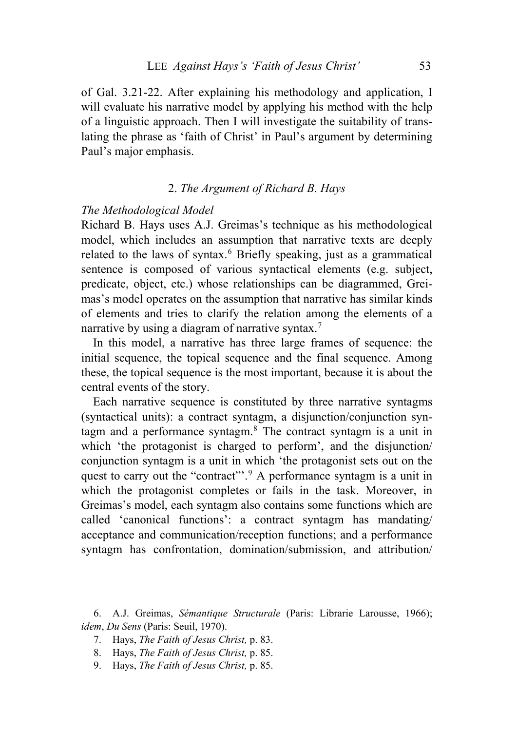of Gal. 3.21-22. After explaining his methodology and application, I will evaluate his narrative model by applying his method with the help of a linguistic approach. Then I will investigate the suitability of translating the phrase as 'faith of Christ' in Paul's argument by determining Paul's major emphasis.

### 2. *The Argument of Richard B. Hays*

#### *The Methodological Model*

Richard B. Hays uses A.J. Greimas's technique as his methodological model, which includes an assumption that narrative texts are deeply related to the laws of syntax.<sup>[6](#page-2-0)</sup> Briefly speaking, just as a grammatical sentence is composed of various syntactical elements (e.g. subject, predicate, object, etc.) whose relationships can be diagrammed, Greimas's model operates on the assumption that narrative has similar kinds of elements and tries to clarify the relation among the elements of a narrative by using a diagram of narrative syntax.<sup>[7](#page-2-1)</sup>

In this model, a narrative has three large frames of sequence: the initial sequence, the topical sequence and the final sequence. Among these, the topical sequence is the most important, because it is about the central events of the story.

Each narrative sequence is constituted by three narrative syntagms (syntactical units): a contract syntagm, a disjunction/conjunction syntagm and a performance syntagm.[8](#page-2-2) The contract syntagm is a unit in which 'the protagonist is charged to perform', and the disjunction/ conjunction syntagm is a unit in which 'the protagonist sets out on the quest to carry out the "contract"'.[9](#page-2-3) A performance syntagm is a unit in which the protagonist completes or fails in the task. Moreover, in Greimas's model, each syntagm also contains some functions which are called 'canonical functions': a contract syntagm has mandating/ acceptance and communication/reception functions; and a performance syntagm has confrontation, domination/submission, and attribution/

<span id="page-2-2"></span><span id="page-2-1"></span><span id="page-2-0"></span>6. A.J. Greimas, *Sémantique Structurale* (Paris: Librarie Larousse, 1966); *idem*, *Du Sens* (Paris: Seuil, 1970).

- 7. Hays, *The Faith of Jesus Christ,* p. 83.
- 8. Hays, *The Faith of Jesus Christ,* p. 85.
- <span id="page-2-3"></span>9. Hays, *The Faith of Jesus Christ,* p. 85.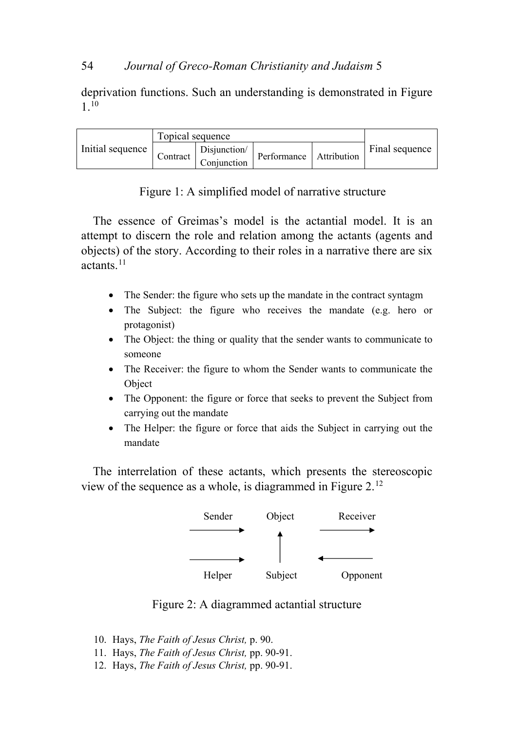## 54 *Journal of Greco-Roman Christianity and Judaism* 5

deprivation functions. Such an understanding is demonstrated in Figure 1.[10](#page-3-0)

|                  | Topical sequence |              |  |                         |                |
|------------------|------------------|--------------|--|-------------------------|----------------|
| Initial sequence | Contract         | Disjunction/ |  | Performance Attribution | Final sequence |
|                  |                  | Conjunction  |  |                         |                |

The essence of Greimas's model is the actantial model. It is an attempt to discern the role and relation among the actants (agents and objects) of the story. According to their roles in a narrative there are six actants.[11](#page-3-1)

- The Sender: the figure who sets up the mandate in the contract syntagm
- The Subject: the figure who receives the mandate (e.g. hero or protagonist)
- The Object: the thing or quality that the sender wants to communicate to someone
- The Receiver: the figure to whom the Sender wants to communicate the Object
- The Opponent: the figure or force that seeks to prevent the Subject from carrying out the mandate
- The Helper: the figure or force that aids the Subject in carrying out the mandate

The interrelation of these actants, which presents the stereoscopic view of the sequence as a whole, is diagrammed in Figure 2.[12](#page-3-2)



Figure 2: A diagrammed actantial structure

- <span id="page-3-0"></span>10. Hays, *The Faith of Jesus Christ,* p. 90.
- <span id="page-3-1"></span>11. Hays, *The Faith of Jesus Christ,* pp. 90-91.
- <span id="page-3-2"></span>12. Hays, *The Faith of Jesus Christ,* pp. 90-91.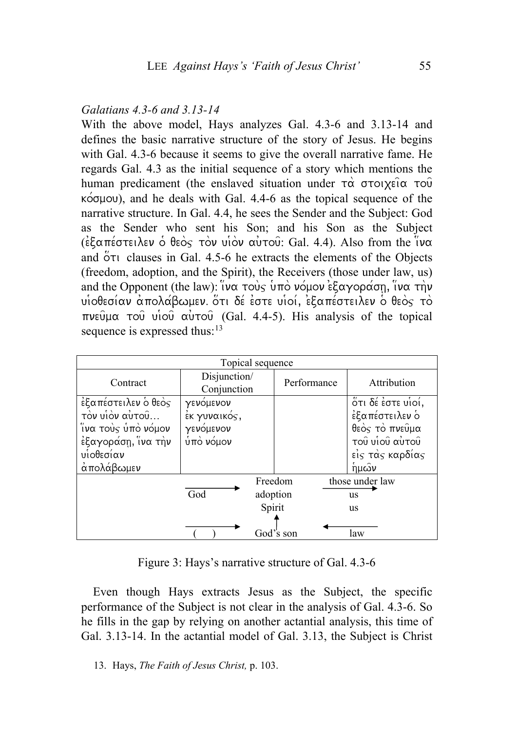## *Galatians 4.3-6 and 3.13-14*

With the above model, Hays analyzes Gal. 4.3-6 and 3.13-14 and defines the basic narrative structure of the story of Jesus. He begins with Gal. 4.3-6 because it seems to give the overall narrative fame. He regards Gal. 4.3 as the initial sequence of a story which mentions the human predicament (the enslaved situation under  $\tau\alpha$   $\sigma\tau$ oixei $\alpha$   $\tau\alpha\hat{v}$  $k\acute{o}$ quou), and he deals with Gal. 4.4-6 as the topical sequence of the narrative structure. In Gal. 4.4, he sees the Sender and the Subject: God as the Sender who sent his Son; and his Son as the Subject ( $\epsilon$ ) ( $\epsilon$ )  $\epsilon$   $\alpha$   $\pi$ )  $\epsilon$   $\alpha$   $\alpha$   $\alpha$   $\alpha$ )  $\alpha$   $\alpha$   $\alpha$   $\alpha$   $\alpha$   $\alpha$ and  $\overset{\circ}{\mathcal{O}}$  ru clauses in Gal. 4.5-6 he extracts the elements of the Objects (freedom, adoption, and the Spirit), the Receivers (those under law, us) and the Opponent (the law):  $\hat{v}$   $\alpha$  to  $\hat{v}$  u  $\hat{v}$  u  $\hat{v}$  is  $\hat{c}$   $\alpha$   $\gamma$ op  $\alpha$   $\alpha$   $\eta$   $\alpha$   $\tau\hat{n}$  $\nu$  $u$ iοθεσίαν απολάβωμεν. ότι δέ έστε υιοί, εξαπέστειλεν ο θεός το  $\pi$ νεύμα του νίου αυτού (Gal. 4.4-5). His analysis of the topical sequence is expressed thus:  $13$ 

|                     | Topical sequence       |          |             |                   |
|---------------------|------------------------|----------|-------------|-------------------|
| Contract            | Disjunction/           |          | Performance | Attribution       |
|                     | Conjunction            |          |             |                   |
| έξαπέστειλεν ο θεος | γενόμενον              |          |             | ότι δέ έστε υίοί, |
| τον υίον αυτού      | $\epsilon$ κ γυναικός, |          |             | έξαπέστειλεν ο    |
| ίνα τοὺς ὑπὸ νόμον  | γενόμενον              |          |             | θεός τό πνεύμα    |
| έξαγοράση, ίνα την  | $\phi$ πό νόμον        |          |             | του νίου αυτου    |
| υίοθεσίαν           |                        |          |             | είς τάς καρδίας   |
| άπολάβωμεν          |                        |          |             | ἡμών              |
|                     |                        | Freedom  |             | those under law   |
|                     | God                    | adoption |             | us                |
|                     |                        | Spirit   |             | us                |
|                     |                        |          |             |                   |
|                     |                        |          | God's son   | law               |

Figure 3: Hays's narrative structure of Gal. 4.3-6

Even though Hays extracts Jesus as the Subject, the specific performance of the Subject is not clear in the analysis of Gal. 4.3-6. So he fills in the gap by relying on another actantial analysis, this time of Gal. 3.13-14. In the actantial model of Gal. 3.13, the Subject is Christ

<span id="page-4-0"></span>13. Hays, *The Faith of Jesus Christ,* p. 103.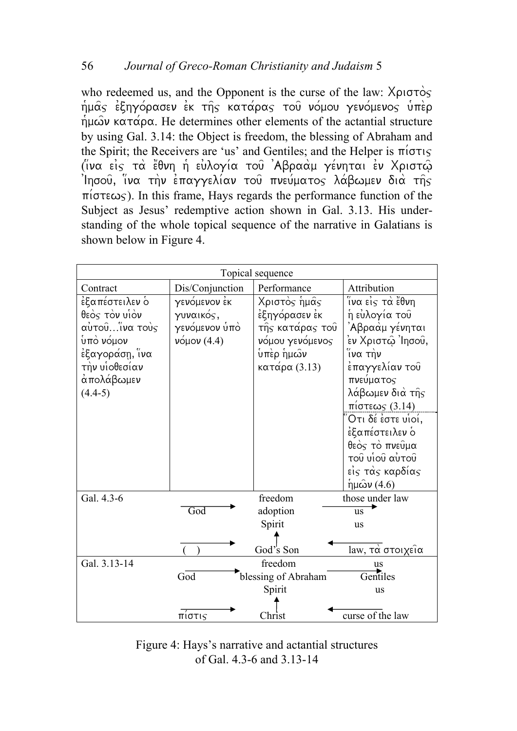who redeemed us, and the Opponent is the curse of the law:  $X\rho\sigma\sigma\gamma\gamma$  $\eta$ μας έξηγόρασεν εκ της κατάρας του νόμου γενόμενος υπερ  $\eta$ μων κατάρα. He determines other elements of the actantial structure by using Gal. 3.14: the Object is freedom, the blessing of Abraham and the Spirit; the Receivers are 'us' and Gentiles; and the Helper is  $\pi i \sigma \tau$ (*iνα εις τα έθνη η ευλογία το*υ 'Αβρααμ γένηται εν Χριστώ  $\int$ Ιησους, ίνα την επαγγελίαν του πνεύματος λάβωμεν δια της  $\pi(\sigma \tau \epsilon \omega)$ . In this frame, Hays regards the performance function of the Subject as Jesus' redemptive action shown in Gal. 3.13. His understanding of the whole topical sequence of the narrative in Galatians is shown below in Figure 4.



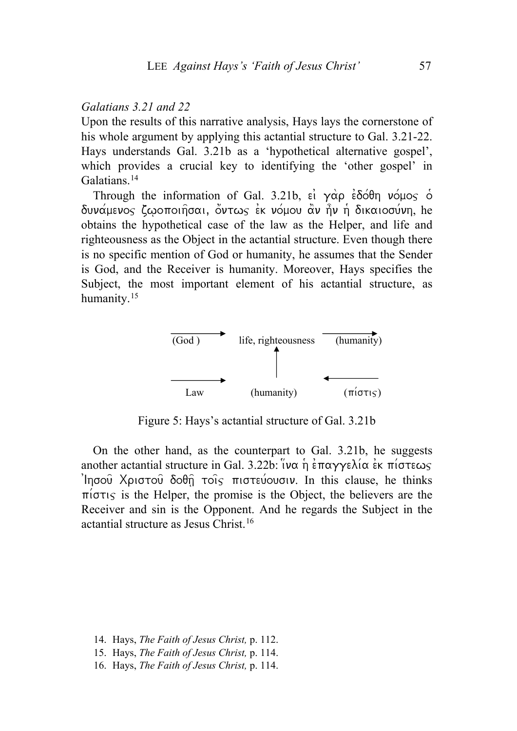#### *Galatians 3.21 and 22*

Upon the results of this narrative analysis, Hays lays the cornerstone of his whole argument by applying this actantial structure to Gal. 3.21-22. Hays understands Gal. 3.21b as a 'hypothetical alternative gospel', which provides a crucial key to identifying the 'other gospel' in Galatians.<sup>[14](#page-6-0)</sup>

Through the information of Gal. 3.21b,  $\epsilon_1$   $\gamma \alpha \beta$   $\epsilon \delta \delta \theta$   $\gamma \delta \beta$ δυνάμενος ζωοποιήσαι, όντως έκ νόμου άν ήν ή δικαιοσύνη, he obtains the hypothetical case of the law as the Helper, and life and righteousness as the Object in the actantial structure. Even though there is no specific mention of God or humanity, he assumes that the Sender is God, and the Receiver is humanity. Moreover, Hays specifies the Subject, the most important element of his actantial structure, as humanity.<sup>[15](#page-6-1)</sup>



Figure 5: Hays's actantial structure of Gal. 3.21b

On the other hand, as the counterpart to Gal. 3.21b, he suggests another actantial structure in Gal. 3.22b:  $\partial \alpha$   $\eta$  επαγγελία εκ πίστεως  $\limsup$  Xolotou  $\delta$ o $\theta$ n tois midteu/ougiv. In this clause, he thinks  $\pi$ i $\sigma\tau$  is the Helper, the promise is the Object, the believers are the Receiver and sin is the Opponent. And he regards the Subject in the actantial structure as Jesus Christ.[16](#page-6-2)

- <span id="page-6-0"></span>14. Hays, *The Faith of Jesus Christ,* p. 112.
- <span id="page-6-1"></span>15. Hays, *The Faith of Jesus Christ,* p. 114.
- <span id="page-6-2"></span>16. Hays, *The Faith of Jesus Christ,* p. 114.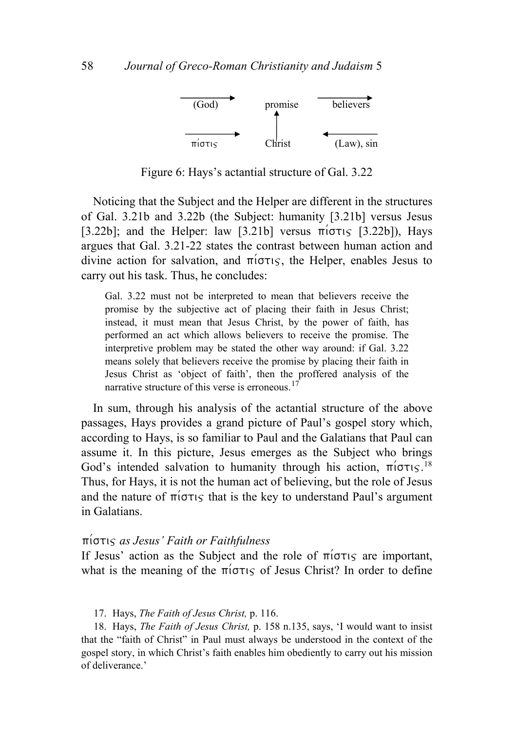

Figure 6: Hays's actantial structure of Gal. 3.22

Noticing that the Subject and the Helper are different in the structures of Gal. 3.21b and 3.22b (the Subject: humanity [3.21b] versus Jesus [3.22b]; and the Helper: law [3.21b] versus  $\pi(\sigma\tau)$  [3.22b]), Hays argues that Gal. 3.21-22 states the contrast between human action and divine action for salvation, and  $\pi(\sigma\tau)$ , the Helper, enables Jesus to carry out his task. Thus, he concludes:

Gal. 3.22 must not be interpreted to mean that believers receive the promise by the subjective act of placing their faith in Jesus Christ; instead, it must mean that Jesus Christ, by the power of faith, has performed an act which allows believers to receive the promise. The interpretive problem may be stated the other way around: if Gal. 3.22 means solely that believers receive the promise by placing their faith in Jesus Christ as 'object of faith', then the proffered analysis of the narrative structure of this verse is erroneous.<sup>[17](#page-7-0)</sup>

In sum, through his analysis of the actantial structure of the above passages, Hays provides a grand picture of Paul's gospel story which, according to Hays, is so familiar to Paul and the Galatians that Paul can assume it. In this picture, Jesus emerges as the Subject who brings God's intended salvation to humanity through his action,  $\pi$ io $\tau$ is.<sup>[18](#page-7-1)</sup> Thus, for Hays, it is not the human act of believing, but the role of Jesus and the nature of  $\pi$ i $\sigma\tau$  ts that is the key to understand Paul's argument in Galatians.

#### pi/stij *as Jesus' Faith or Faithfulness*

If Jesus' action as the Subject and the role of  $\pi$ i $\sigma\tau$  are important, what is the meaning of the  $\pi/\sigma\tau$  of Jesus Christ? In order to define

17. Hays, *The Faith of Jesus Christ,* p. 116.

<span id="page-7-1"></span><span id="page-7-0"></span>18. Hays, *The Faith of Jesus Christ,* p. 158 n.135, says, 'I would want to insist that the "faith of Christ" in Paul must always be understood in the context of the gospel story, in which Christ's faith enables him obediently to carry out his mission of deliverance.'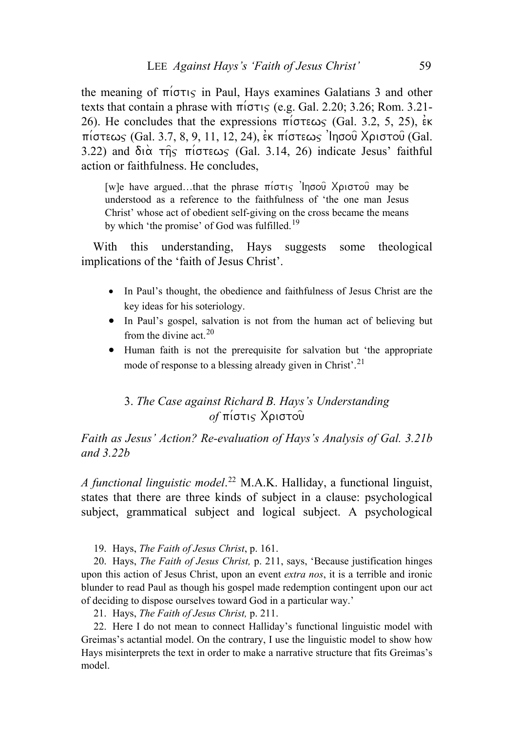the meaning of  $\pi$ i $\sigma\tau$  in Paul, Hays examines Galatians 3 and other texts that contain a phrase with  $\pi(\sigma\tau)$  (e.g. Gal. 2.20; 3.26; Rom. 3.21-26). He concludes that the expressions  $\pi$  ( $\sigma \tau \epsilon \omega$  (Gal. 3.2, 5, 25),  $\epsilon \kappa$  $\pi$ ίστεως (Gal. 3.7, 8, 9, 11, 12, 24), εκ πίστεως 'Ιησού Χριστού (Gal. 3.22) and  $\delta$ <sub>1</sub> $\alpha$   $\tau$  $\eta$   $\varsigma$   $\pi$ <sub>1</sub> $\sigma$  $\tau \in \mathcal{S}$  (Gal. 3.14, 26) indicate Jesus' faithful action or faithfulness. He concludes,

[w]e have argued...that the phrase  $\pi(\sigma\tau)$  'Ingou Xpi $\sigma\tau$ ou may be understood as a reference to the faithfulness of 'the one man Jesus Christ' whose act of obedient self-giving on the cross became the means by which 'the promise' of God was fulfilled.<sup>[19](#page-8-0)</sup>

With this understanding, Hays suggests some theological implications of the 'faith of Jesus Christ'.

- In Paul's thought, the obedience and faithfulness of Jesus Christ are the key ideas for his soteriology.
- In Paul's gospel, salvation is not from the human act of believing but from the divine act  $20$
- Human faith is not the prerequisite for salvation but 'the appropriate mode of response to a blessing already given in Christ'.<sup>[21](#page-8-2)</sup>

# 3. *The Case against Richard B. Hays's Understanding of* πίστις Χριστου

*Faith as Jesus' Action? Re-evaluation of Hays's Analysis of Gal. 3.21b and 3.22b* 

*A functional linguistic model*. [22](#page-8-3) M.A.K. Halliday, a functional linguist, states that there are three kinds of subject in a clause: psychological subject, grammatical subject and logical subject. A psychological

19. Hays, *The Faith of Jesus Christ*, p. 161.

<span id="page-8-1"></span><span id="page-8-0"></span>20. Hays, *The Faith of Jesus Christ,* p. 211, says, 'Because justification hinges upon this action of Jesus Christ, upon an event *extra nos*, it is a terrible and ironic blunder to read Paul as though his gospel made redemption contingent upon our act of deciding to dispose ourselves toward God in a particular way.'

21. Hays, *The Faith of Jesus Christ,* p. 211.

<span id="page-8-3"></span><span id="page-8-2"></span>22. Here I do not mean to connect Halliday's functional linguistic model with Greimas's actantial model. On the contrary, I use the linguistic model to show how Hays misinterprets the text in order to make a narrative structure that fits Greimas's model.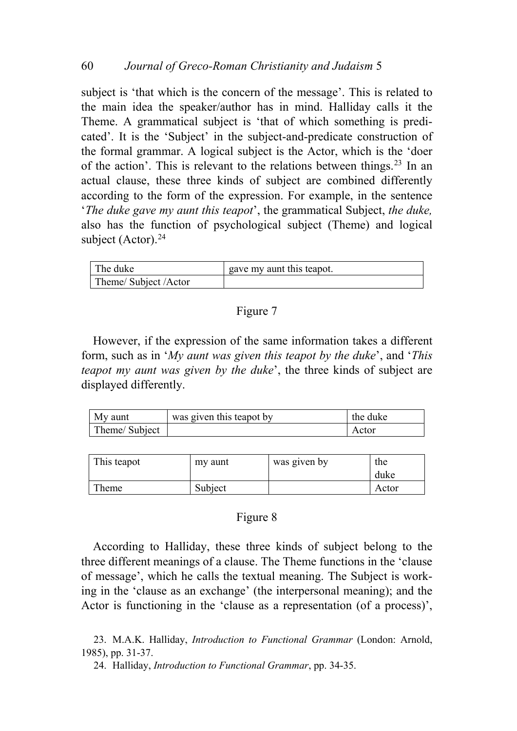subject is 'that which is the concern of the message'. This is related to the main idea the speaker/author has in mind. Halliday calls it the Theme. A grammatical subject is 'that of which something is predicated'. It is the 'Subject' in the subject-and-predicate construction of the formal grammar. A logical subject is the Actor, which is the 'doer of the action'. This is relevant to the relations between things.<sup>[23](#page-9-0)</sup> In an actual clause, these three kinds of subject are combined differently according to the form of the expression. For example, in the sentence '*The duke gave my aunt this teapot*', the grammatical Subject, *the duke,* also has the function of psychological subject (Theme) and logical subject (Actor). $^{24}$  $^{24}$  $^{24}$ 

| The duke            | gave my aunt this teapot. |
|---------------------|---------------------------|
| Theme/Subject/Actor |                           |

### Figure 7

However, if the expression of the same information takes a different form, such as in '*My aunt was given this teapot by the duke*', and '*This teapot my aunt was given by the duke*', the three kinds of subject are displayed differently.

| My aunt       | was given this teapot by | the duke |
|---------------|--------------------------|----------|
| Theme/Subject |                          | Actor    |

| This teapot | my aunt | was given by | the<br>duke |
|-------------|---------|--------------|-------------|
| Theme       | Subject |              | Actor       |

### Figure 8

According to Halliday, these three kinds of subject belong to the three different meanings of a clause. The Theme functions in the 'clause of message', which he calls the textual meaning. The Subject is working in the 'clause as an exchange' (the interpersonal meaning); and the Actor is functioning in the 'clause as a representation (of a process)',

24. Halliday, *Introduction to Functional Grammar*, pp. 34-35.

<span id="page-9-1"></span><span id="page-9-0"></span><sup>23.</sup> M.A.K. Halliday, *Introduction to Functional Grammar* (London: Arnold, 1985), pp. 31-37.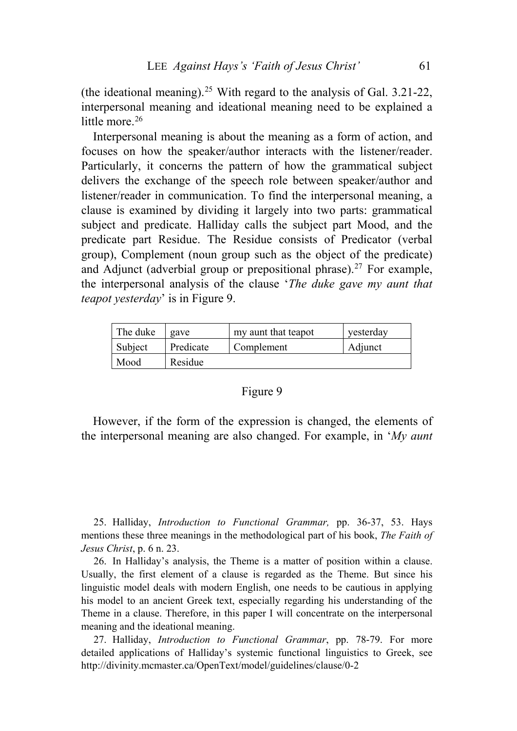(the ideational meaning).<sup>[25](#page-10-0)</sup> With regard to the analysis of Gal.  $3.21$ -22, interpersonal meaning and ideational meaning need to be explained a little more  $26$ 

Interpersonal meaning is about the meaning as a form of action, and focuses on how the speaker/author interacts with the listener/reader. Particularly, it concerns the pattern of how the grammatical subject delivers the exchange of the speech role between speaker/author and listener/reader in communication. To find the interpersonal meaning, a clause is examined by dividing it largely into two parts: grammatical subject and predicate. Halliday calls the subject part Mood, and the predicate part Residue. The Residue consists of Predicator (verbal group), Complement (noun group such as the object of the predicate) and Adjunct (adverbial group or prepositional phrase).<sup>[27](#page-10-2)</sup> For example, the interpersonal analysis of the clause '*The duke gave my aunt that teapot yesterday*' is in Figure 9.

| The duke | gave      | my aunt that teapot | yesterday |
|----------|-----------|---------------------|-----------|
| Subject  | Predicate | Complement          | Adjunct   |
| Mood     | Residue   |                     |           |

#### Figure 9

However, if the form of the expression is changed, the elements of the interpersonal meaning are also changed. For example, in '*My aunt* 

<span id="page-10-0"></span>25. Halliday, *Introduction to Functional Grammar,* pp. 36-37, 53. Hays mentions these three meanings in the methodological part of his book, *The Faith of Jesus Christ*, p. 6 n. 23.

<span id="page-10-1"></span>26. In Halliday's analysis, the Theme is a matter of position within a clause. Usually, the first element of a clause is regarded as the Theme. But since his linguistic model deals with modern English, one needs to be cautious in applying his model to an ancient Greek text, especially regarding his understanding of the Theme in a clause. Therefore, in this paper I will concentrate on the interpersonal meaning and the ideational meaning.

<span id="page-10-2"></span>27. Halliday, *Introduction to Functional Grammar*, pp. 78-79. For more detailed applications of Halliday's systemic functional linguistics to Greek, see http://divinity.mcmaster.ca/OpenText/model/guidelines/clause/0-2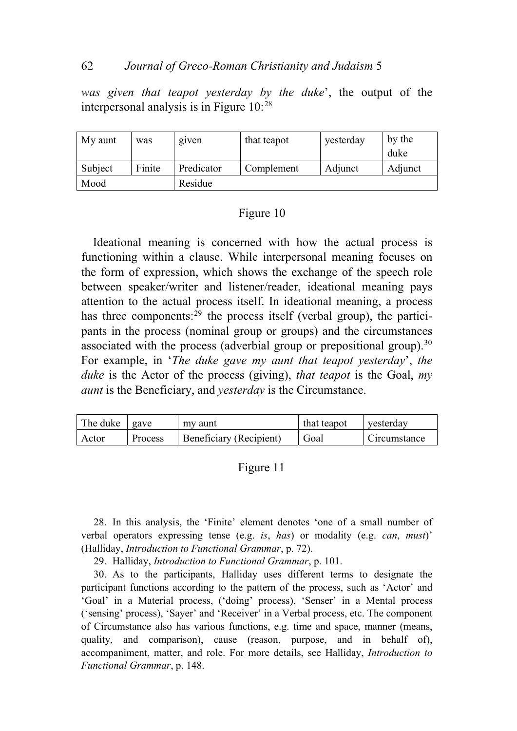### 62 *Journal of Greco-Roman Christianity and Judaism* 5

*was given that teapot yesterday by the duke*', the output of the interpersonal analysis is in Figure 10:[28](#page-11-0)

| My aunt | was    | given      | that teapot | yesterday | by the  |
|---------|--------|------------|-------------|-----------|---------|
|         |        |            |             |           | duke    |
| Subject | Finite | Predicator | Complement  | Adjunct   | Adjunct |
| Mood    |        | Residue    |             |           |         |

## Figure 10

Ideational meaning is concerned with how the actual process is functioning within a clause. While interpersonal meaning focuses on the form of expression, which shows the exchange of the speech role between speaker/writer and listener/reader, ideational meaning pays attention to the actual process itself. In ideational meaning, a process has three components:  $29$  the process itself (verbal group), the participants in the process (nominal group or groups) and the circumstances associated with the process (adverbial group or prepositional group).  $30$ For example, in '*The duke gave my aunt that teapot yesterday*', *the duke* is the Actor of the process (giving), *that teapot* is the Goal, *my aunt* is the Beneficiary, and *yesterday* is the Circumstance.

| The duke | gave    | my aunt                 | that teapot | yesterday           |
|----------|---------|-------------------------|-------------|---------------------|
| Actor    | Process | Beneficiary (Recipient) | Goal        | <b>Circumstance</b> |

#### Figure 11

<span id="page-11-0"></span>28. In this analysis, the 'Finite' element denotes 'one of a small number of verbal operators expressing tense (e.g. *is*, *has*) or modality (e.g. *can*, *must*)' (Halliday, *Introduction to Functional Grammar*, p. 72).

29. Halliday, *Introduction to Functional Grammar*, p. 101.

<span id="page-11-2"></span><span id="page-11-1"></span>30. As to the participants, Halliday uses different terms to designate the participant functions according to the pattern of the process, such as 'Actor' and 'Goal' in a Material process, ('doing' process), 'Senser' in a Mental process ('sensing' process), 'Sayer' and 'Receiver' in a Verbal process, etc. The component of Circumstance also has various functions, e.g. time and space, manner (means, quality, and comparison), cause (reason, purpose, and in behalf of), accompaniment, matter, and role. For more details, see Halliday, *Introduction to Functional Grammar*, p. 148.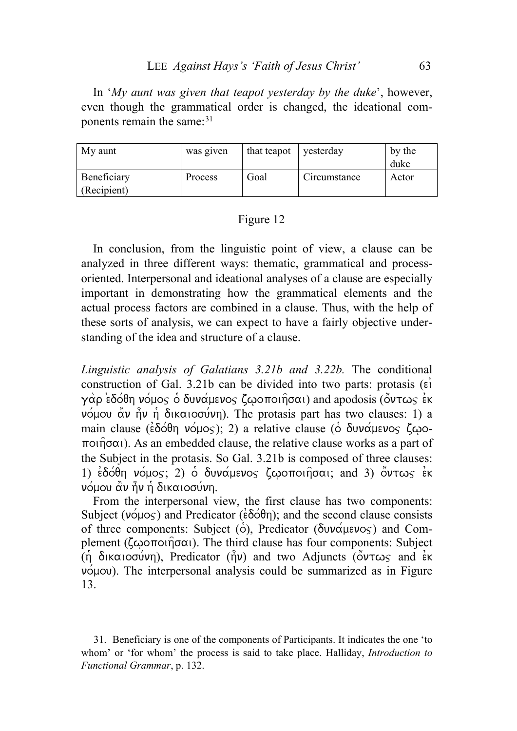In '*My aunt was given that teapot yesterday by the duke*', however, even though the grammatical order is changed, the ideational components remain the same: $31$ 

| My aunt                    | was given      | that teapot | yesterday    | by the<br>duke |
|----------------------------|----------------|-------------|--------------|----------------|
| Beneficiary<br>(Recipient) | <b>Process</b> | Goal        | Circumstance | Actor          |

### Figure 12

In conclusion, from the linguistic point of view, a clause can be analyzed in three different ways: thematic, grammatical and processoriented. Interpersonal and ideational analyses of a clause are especially important in demonstrating how the grammatical elements and the actual process factors are combined in a clause. Thus, with the help of these sorts of analysis, we can expect to have a fairly objective understanding of the idea and structure of a clause.

*Linguistic analysis of Galatians 3.21b and 3.22b.* The conditional construction of Gal. 3.21b can be divided into two parts: protasis  $(\vec{\epsilon})$ γάρ εδόθη νόμος ο δυνάμενος ζωοποιήσαι) and apodosis (συτως εκ  $ν$  όμου άν ήν η δικαιοσύνη). The protasis part has two clauses: 1) a main clause ( $\epsilon$  $\delta$  $\acute{o}$  $\theta$ n  $\nu$  $\acute{o}$  $\mu$ o $\varsigma$ ); 2) a relative clause ( $\acute{o}$   $\delta$  $\nu$  $\nu$  $\alpha$  $\mu$  $\epsilon$  $\nu$ o $\varsigma$   $\zeta$  $\omega$ o- $\pi$ oi $\hat{\eta}$  $\sigma$  $\alpha$ ). As an embedded clause, the relative clause works as a part of the Subject in the protasis. So Gal. 3.21b is composed of three clauses: 1)  $\epsilon$  $\delta$  $\delta$  $\theta$ η νόμος; 2)  $\delta$  δυνάμενος ζωοποιήσαι; and 3) όντως εκ  $ν$ όμου άν ήν ή δικαιοσύνη.

From the interpersonal view, the first clause has two components: Subject ( $\nu \circ \mu \circ \varsigma$ ) and Predicator ( $\epsilon \delta \circ \theta$ n); and the second clause consists of three components: Subject ( $\acute{\text{o}}$ ), Predicator ( $\delta$ uv $\acute{\alpha}$ μενος) and Complement ( $\zeta\omega$ o $\pi$ oi $\eta\sigma\alpha$ ). The third clause has four components: Subject (n)  $\delta$ ikaiogu/vn), Predicator ( $\hat{h}$ v) and two Adjuncts ( $\delta$ v $\tau \omega$  and  $\epsilon$ k  $ν$ όμου). The interpersonal analysis could be summarized as in Figure 13.

<span id="page-12-0"></span><sup>31.</sup> Beneficiary is one of the components of Participants. It indicates the one 'to whom' or 'for whom' the process is said to take place. Halliday, *Introduction to Functional Grammar*, p. 132.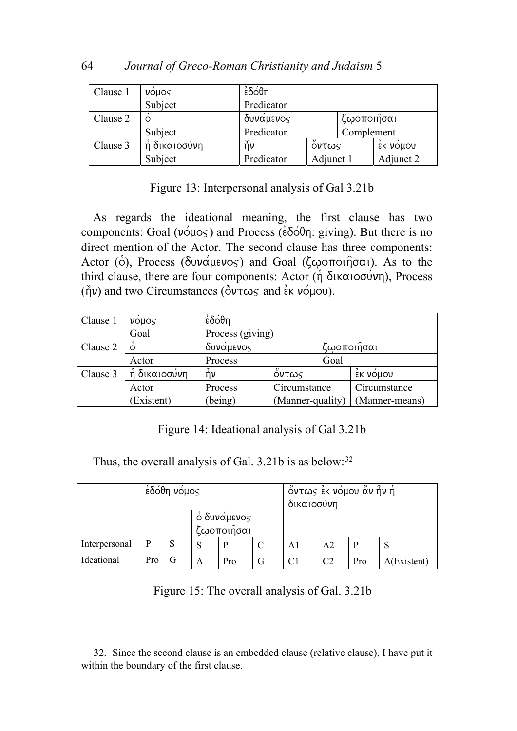| Clause 1 | <b>VOLIOS</b> | έδόθη                |                         |            |           |
|----------|---------------|----------------------|-------------------------|------------|-----------|
|          | Subject       | Predicator           |                         |            |           |
| Clause 2 |               | δυνάμενος            |                         | ζωοποιήσαι |           |
|          | Subject       | Predicator           |                         | Complement |           |
| Clause 3 | ή δικαιοσύνη  | $\hat{\mathsf{n}}$ ν | $\overline{ }$<br>Οντως |            | EK VOLIOU |
|          | Subject       | Predicator           | Adjunct 1               |            | Adjunct 2 |

Figure 13: Interpersonal analysis of Gal 3.21b

As regards the ideational meaning, the first clause has two components: Goal ( $v \circ \mu \circ s$ ) and Process ( $\epsilon \delta \circ \theta$  rg giving). But there is no direct mention of the Actor. The second clause has three components: Actor (o), Process ( $\delta$ uv $\alpha$ µevos) and Goal ( $\zeta$ ωoποιησαι). As to the third clause, there are four components: Actor  $(\hat{\eta} \delta)$ <sub>K $\alpha$ iogu $\nu$ n), Process</sub>  $(\hat{\eta}v)$  and two Circumstances ( $\ddot{\circ}v\tau\omega\varsigma$  and  $\dot{\epsilon}\kappa$   $v\acute{o}\mu\omega$ ).

| Clause 1 | $\mathsf{vo}$ uos | έδόθη                   |                        |      |                |  |
|----------|-------------------|-------------------------|------------------------|------|----------------|--|
|          | Goal              | Process (giving)        |                        |      |                |  |
| Clause 2 | $\Omega$          | ζωοποιήσαι<br>δυνάμενος |                        |      |                |  |
|          | Actor             | Process                 |                        | Goal |                |  |
| Clause 3 | ή δικαιοσύνη      | $\hat{\mathsf{n}}$ ν    | $\mathcal{H}$<br>Őντως |      | έκ νόμου       |  |
|          | Actor             | Process                 | Circumstance           |      | Circumstance   |  |
|          | (Existent)        | (being)                 | (Manner-quality)       |      | (Manner-means) |  |

Figure 14: Ideational analysis of Gal 3.21b

Thus, the overall analysis of Gal. 3.21b is as below:<sup>[32](#page-13-0)</sup>

|               | $\dot{\epsilon}$ δόθη νόμο $\varsigma$ |   |                                  |     | όντως έκ νόμου ἀν ἦν ἡ<br>δικαιοσύνη |    |                |     |             |
|---------------|----------------------------------------|---|----------------------------------|-----|--------------------------------------|----|----------------|-----|-------------|
|               |                                        |   | $\delta$ δυνάμενος<br>ζωοποιῆσαι |     |                                      |    |                |     |             |
| Interpersonal |                                        | S | S                                | D   |                                      | A1 | A <sub>2</sub> | P   | S           |
| Ideational    | Pro                                    | G | A                                | Pro | G                                    |    | C <sub>2</sub> | Pro | A(Existent) |

| Figure 15: The overall analysis of Gal. 3.21b |  |  |  |  |
|-----------------------------------------------|--|--|--|--|
|                                               |  |  |  |  |

<span id="page-13-0"></span>32. Since the second clause is an embedded clause (relative clause), I have put it within the boundary of the first clause.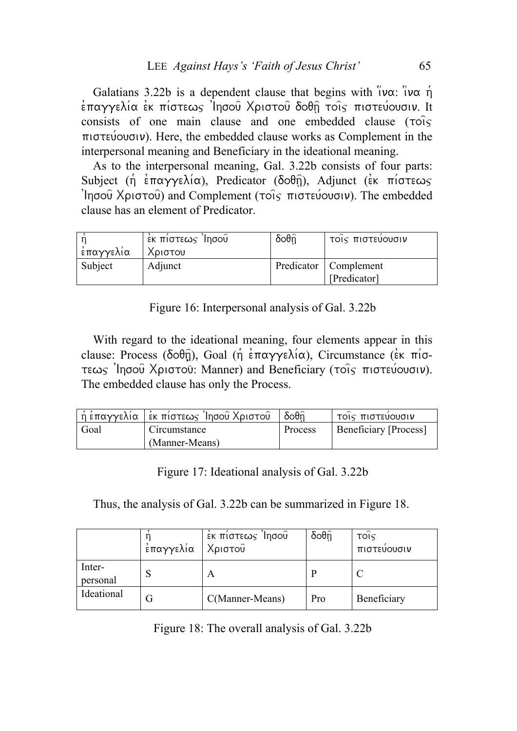Galatians 3.22b is a dependent clause that begins with  $\tilde{v}$ v $\alpha$ :  $\tilde{v}$ v $\alpha$   $\tilde{n}$  $\epsilon$ παγγελία εκ πίστεως 'Ιησού Χριστού δοθη τοις πιστεύουσιν. It consists of one main clause and one embedded clause  $(\tau \circ \circ \cdot)$  $\pi$   $\sigma$  review  $\sigma$ ). Here, the embedded clause works as Complement in the interpersonal meaning and Beneficiary in the ideational meaning.

As to the interpersonal meaning, Gal. 3.22b consists of four parts: Subject ( $\eta$  entry  $\alpha$ ), Predicator ( $\delta$  $\alpha$  $\theta$  $\hat{\eta}$ ), Adjunct (ex piotrews  $\lim_{\delta}$  Xpiotou) and Complement ( $\cos$  πιστεύουσιν). The embedded clause has an element of Predicator.

| έπαγγελία | έκ πίστεως Ίησοῦ<br>Χριστου | $\delta$ oθη $\hat{\theta}$ | ΤΟΙς ΠΙστευουσιν                        |
|-----------|-----------------------------|-----------------------------|-----------------------------------------|
| Subject   | Adjunct                     |                             | Predicator   Complement<br>[Predicator] |

Figure 16: Interpersonal analysis of Gal. 3.22b

With regard to the ideational meaning, four elements appear in this clause: Process ( $\delta$  $\partial \theta$  $\hat{\eta}$ ), Goal ( $\hat{\eta}$  e $\pi$  $\alpha \gamma \gamma \epsilon \lambda i \alpha$ ), Circumstance (ek  $\pi i \sigma$ - $\tau$ εως 'Iησού Χριστού: Manner) and Beneficiary (τοις πιστεύουσιν). The embedded clause has only the Process.

|      | ἡ ἐπαγγελία   ἐκ πίστεως Ἰησοῦ Χριστοῦ | $\delta$ oθ $\widehat{\mathsf{n}}$ | τοις πιστευουσιν             |
|------|----------------------------------------|------------------------------------|------------------------------|
| Goal | Circumstance                           | Process                            | <b>Beneficiary [Process]</b> |
|      | (Manner-Means)                         |                                    |                              |

Figure 17: Ideational analysis of Gal. 3.22b

Thus, the analysis of Gal. 3.22b can be summarized in Figure 18.

|                    | έπαγγελία | έκ πίστεως Ίησου<br>Χριστού | $\delta$ oθη $\hat{\theta}$ | τοις<br>πιστευουσιν |
|--------------------|-----------|-----------------------------|-----------------------------|---------------------|
| Inter-<br>personal | D.        | A                           |                             |                     |
| Ideational         | G         | C(Manner-Means)             | Pro                         | Beneficiary         |

Figure 18: The overall analysis of Gal. 3.22b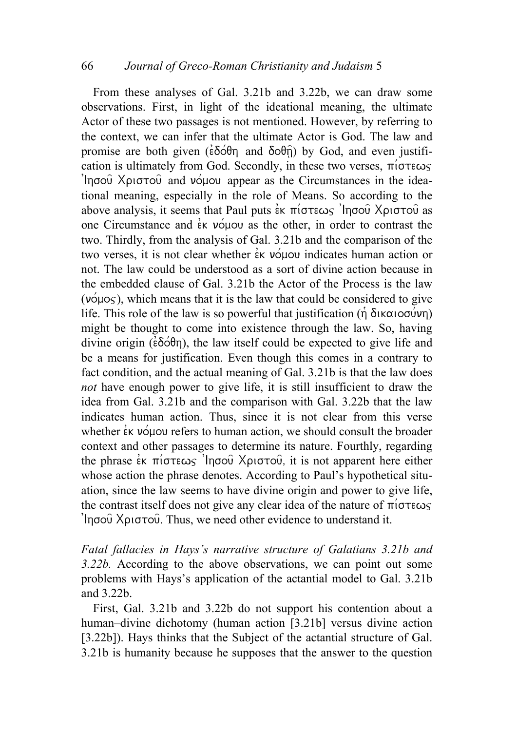From these analyses of Gal. 3.21b and 3.22b, we can draw some observations. First, in light of the ideational meaning, the ultimate Actor of these two passages is not mentioned. However, by referring to the context, we can infer that the ultimate Actor is God. The law and promise are both given ( $\epsilon \delta \acute{o} \theta$ ) and  $\delta \acute{o} \theta$ ) by God, and even justification is ultimately from God. Secondly, in these two verses,  $\pi$ <sub>i</sub> $\sigma$ <sup>r</sup> $\epsilon \omega$  $\lim_{\delta}$  Xpiorou and vou appear as the Circumstances in the ideational meaning, especially in the role of Means. So according to the above analysis, it seems that Paul puts  $\epsilon$ <sub>K</sub>  $\pi$ <sup>i</sup> $\sigma$  $\epsilon \omega$ s 'Ingou Xpi $\sigma$  $\sigma$ u as one Circumstance and  $\epsilon$ <sub>K</sub>  $\nu$  over as the other, in order to contrast the two. Thirdly, from the analysis of Gal. 3.21b and the comparison of the two verses, it is not clear whether  $\dot{\epsilon}$  volve indicates human action or not. The law could be understood as a sort of divine action because in the embedded clause of Gal. 3.21b the Actor of the Process is the law  $(v_0 \circ v_0)$ , which means that it is the law that could be considered to give life. This role of the law is so powerful that justification  $(\eta \delta \kappa \alpha \iota \circ \sigma \omega \nu \eta)$ might be thought to come into existence through the law. So, having divine origin ( $\epsilon \delta \acute{o} \theta$ n), the law itself could be expected to give life and be a means for justification. Even though this comes in a contrary to fact condition, and the actual meaning of Gal. 3.21b is that the law does *not* have enough power to give life, it is still insufficient to draw the idea from Gal. 3.21b and the comparison with Gal. 3.22b that the law indicates human action. Thus, since it is not clear from this verse whether  $\epsilon$ <sub>K</sub>  $\nu$  option refers to human action, we should consult the broader context and other passages to determine its nature. Fourthly, regarding the phrase εκ πίστεως 'Iησού Χριστού, it is not apparent here either whose action the phrase denotes. According to Paul's hypothetical situation, since the law seems to have divine origin and power to give life, the contrast itself does not give any clear idea of the nature of  $\pi$ i $\sigma$  $\tau \in \omega$  $\limsup$  X $\rho$  is to Thus, we need other evidence to understand it.

*Fatal fallacies in Hays's narrative structure of Galatians 3.21b and 3.22b.* According to the above observations, we can point out some problems with Hays's application of the actantial model to Gal. 3.21b and 3.22b.

First, Gal. 3.21b and 3.22b do not support his contention about a human–divine dichotomy (human action [3.21b] versus divine action [3.22b]). Hays thinks that the Subject of the actantial structure of Gal. 3.21b is humanity because he supposes that the answer to the question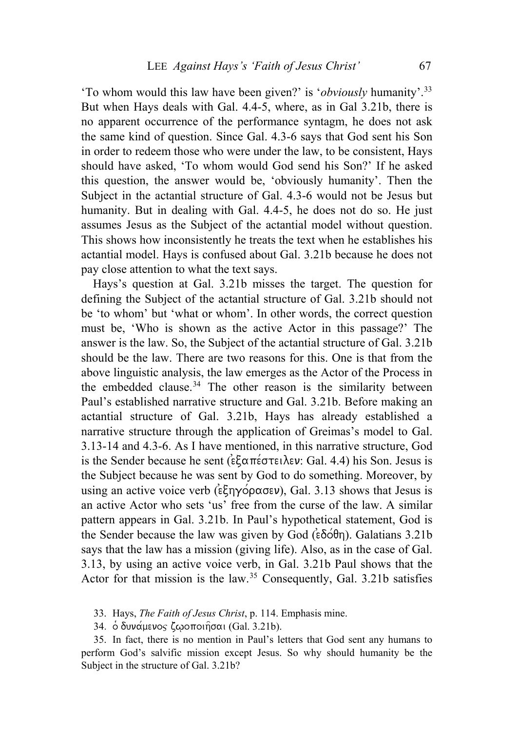'To whom would this law have been given?' is '*obviously* humanity'.[33](#page-16-0) But when Hays deals with Gal. 4.4-5, where, as in Gal 3.21b, there is no apparent occurrence of the performance syntagm, he does not ask the same kind of question. Since Gal. 4.3-6 says that God sent his Son in order to redeem those who were under the law, to be consistent, Hays should have asked, 'To whom would God send his Son?' If he asked this question, the answer would be, 'obviously humanity'. Then the Subject in the actantial structure of Gal. 4.3-6 would not be Jesus but humanity. But in dealing with Gal. 4.4-5, he does not do so. He just assumes Jesus as the Subject of the actantial model without question. This shows how inconsistently he treats the text when he establishes his actantial model. Hays is confused about Gal. 3.21b because he does not pay close attention to what the text says.

Hays's question at Gal. 3.21b misses the target. The question for defining the Subject of the actantial structure of Gal. 3.21b should not be 'to whom' but 'what or whom'. In other words, the correct question must be, 'Who is shown as the active Actor in this passage?' The answer is the law. So, the Subject of the actantial structure of Gal. 3.21b should be the law. There are two reasons for this. One is that from the above linguistic analysis, the law emerges as the Actor of the Process in the embedded clause.<sup>[34](#page-16-1)</sup> The other reason is the similarity between Paul's established narrative structure and Gal. 3.21b. Before making an actantial structure of Gal. 3.21b, Hays has already established a narrative structure through the application of Greimas's model to Gal. 3.13-14 and 4.3-6. As I have mentioned, in this narrative structure, God is the Sender because he sent ( $\epsilon \xi \alpha \pi \epsilon \sigma \tau \epsilon \iota \lambda \epsilon \nu$ : Gal. 4.4) his Son. Jesus is the Subject because he was sent by God to do something. Moreover, by using an active voice verb ( $\epsilon \xi \eta \gamma \acute{\varphi} \rho \alpha \sigma \epsilon \nu$ ), Gal. 3.13 shows that Jesus is an active Actor who sets 'us' free from the curse of the law. A similar pattern appears in Gal. 3.21b. In Paul's hypothetical statement, God is the Sender because the law was given by God  $(\epsilon \delta \acute{\phi} \theta \eta)$ . Galatians 3.21b says that the law has a mission (giving life). Also, as in the case of Gal. 3.13, by using an active voice verb, in Gal. 3.21b Paul shows that the Actor for that mission is the law.<sup>[35](#page-16-2)</sup> Consequently, Gal. 3.21b satisfies

33. Hays, *The Faith of Jesus Christ*, p. 114. Emphasis mine.

34. δ δυνάμενος ζωοποιήσαι (Gal. 3.21b).

<span id="page-16-2"></span><span id="page-16-1"></span><span id="page-16-0"></span>35. In fact, there is no mention in Paul's letters that God sent any humans to perform God's salvific mission except Jesus. So why should humanity be the Subject in the structure of Gal. 3.21b?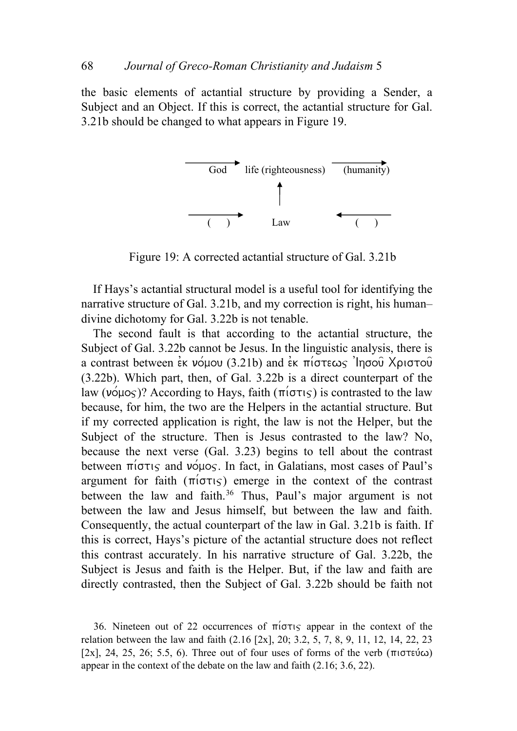the basic elements of actantial structure by providing a Sender, a Subject and an Object. If this is correct, the actantial structure for Gal. 3.21b should be changed to what appears in Figure 19.



Figure 19: A corrected actantial structure of Gal. 3.21b

If Hays's actantial structural model is a useful tool for identifying the narrative structure of Gal. 3.21b, and my correction is right, his human– divine dichotomy for Gal. 3.22b is not tenable.

The second fault is that according to the actantial structure, the Subject of Gal. 3.22b cannot be Jesus. In the linguistic analysis, there is a contrast between  $\epsilon$ k νόμου (3.21b) and  $\epsilon$ κ πίστεως 'Ingou Xpiστου (3.22b). Which part, then, of Gal. 3.22b is a direct counterpart of the law ( $\nu \circ \mu \circ \circ$ )? According to Hays, faith ( $\pi \circ \tau \circ \circ$ ) is contrasted to the law because, for him, the two are the Helpers in the actantial structure. But if my corrected application is right, the law is not the Helper, but the Subject of the structure. Then is Jesus contrasted to the law? No, because the next verse (Gal. 3.23) begins to tell about the contrast between  $\pi$ i $\sigma\tau$  and  $\nu\sigma\mu\sigma\varsigma$ . In fact, in Galatians, most cases of Paul's argument for faith  $(\pi i \sigma \tau)$  emerge in the context of the contrast between the law and faith.<sup>[36](#page-17-0)</sup> Thus, Paul's major argument is not between the law and Jesus himself, but between the law and faith. Consequently, the actual counterpart of the law in Gal. 3.21b is faith. If this is correct, Hays's picture of the actantial structure does not reflect this contrast accurately. In his narrative structure of Gal. 3.22b, the Subject is Jesus and faith is the Helper. But, if the law and faith are directly contrasted, then the Subject of Gal. 3.22b should be faith not

<span id="page-17-0"></span><sup>36.</sup> Nineteen out of 22 occurrences of  $\pi$ i $\sigma$ tis appear in the context of the relation between the law and faith (2.16 [2x], 20; 3.2, 5, 7, 8, 9, 11, 12, 14, 22, 23 [2x], 24, 25, 26; 5.5, 6). Three out of four uses of forms of the verb ( $\pi$ ιστεύ $\omega$ ) appear in the context of the debate on the law and faith (2.16; 3.6, 22).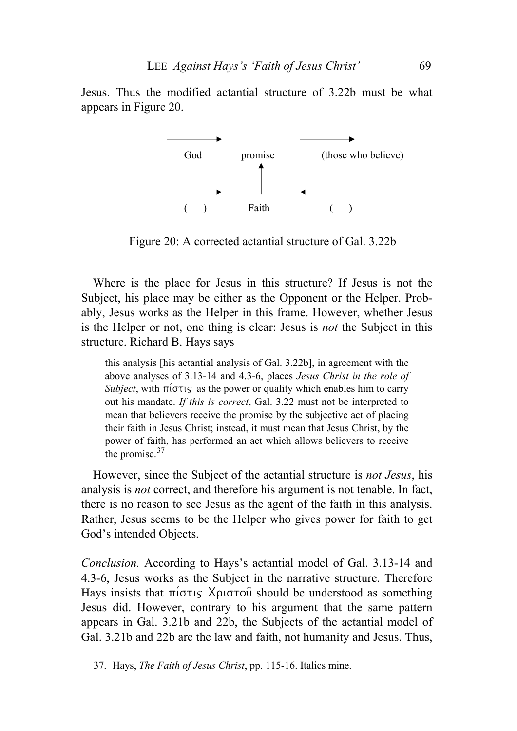Jesus. Thus the modified actantial structure of 3.22b must be what appears in Figure 20.



Figure 20: A corrected actantial structure of Gal. 3.22b

Where is the place for Jesus in this structure? If Jesus is not the Subject, his place may be either as the Opponent or the Helper. Probably, Jesus works as the Helper in this frame. However, whether Jesus is the Helper or not, one thing is clear: Jesus is *not* the Subject in this structure. Richard B. Hays says

this analysis [his actantial analysis of Gal. 3.22b], in agreement with the above analyses of 3.13-14 and 4.3-6, places *Jesus Christ in the role of Subject*, with  $\pi$ <sup>i</sup> $\sigma\tau$ <sub>15</sub> as the power or quality which enables him to carry out his mandate. *If this is correct*, Gal. 3.22 must not be interpreted to mean that believers receive the promise by the subjective act of placing their faith in Jesus Christ; instead, it must mean that Jesus Christ, by the power of faith, has performed an act which allows believers to receive the promise.<sup>[37](#page-18-0)</sup>

However, since the Subject of the actantial structure is *not Jesus*, his analysis is *not* correct, and therefore his argument is not tenable. In fact, there is no reason to see Jesus as the agent of the faith in this analysis. Rather, Jesus seems to be the Helper who gives power for faith to get God's intended Objects.

*Conclusion.* According to Hays's actantial model of Gal. 3.13-14 and 4.3-6, Jesus works as the Subject in the narrative structure. Therefore Hays insists that  $\pi$ i $\sigma\tau$ <sub>is</sub> X $\rho$ <sub>i</sub> $\sigma\tau$ o should be understood as something Jesus did. However, contrary to his argument that the same pattern appears in Gal. 3.21b and 22b, the Subjects of the actantial model of Gal. 3.21b and 22b are the law and faith, not humanity and Jesus. Thus,

<span id="page-18-0"></span>37. Hays, *The Faith of Jesus Christ*, pp. 115-16. Italics mine.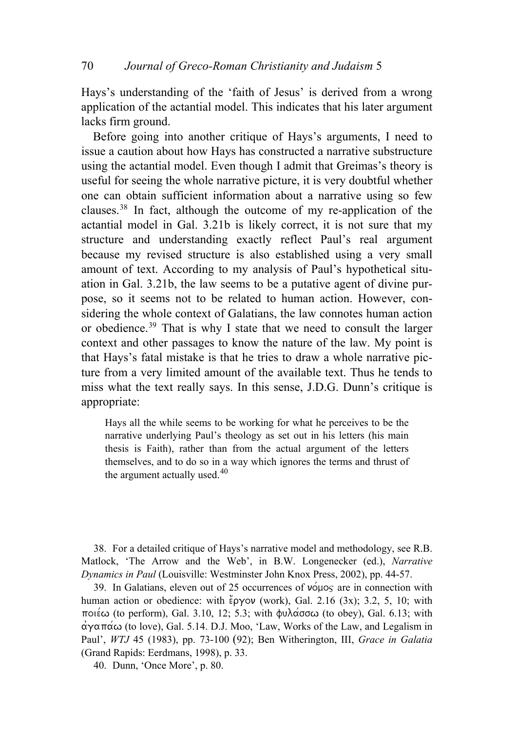Hays's understanding of the 'faith of Jesus' is derived from a wrong application of the actantial model. This indicates that his later argument lacks firm ground.

Before going into another critique of Hays's arguments, I need to issue a caution about how Hays has constructed a narrative substructure using the actantial model. Even though I admit that Greimas's theory is useful for seeing the whole narrative picture, it is very doubtful whether one can obtain sufficient information about a narrative using so few clauses.[38](#page-19-0) In fact, although the outcome of my re-application of the actantial model in Gal. 3.21b is likely correct, it is not sure that my structure and understanding exactly reflect Paul's real argument because my revised structure is also established using a very small amount of text. According to my analysis of Paul's hypothetical situation in Gal. 3.21b, the law seems to be a putative agent of divine purpose, so it seems not to be related to human action. However, considering the whole context of Galatians, the law connotes human action or obedience.[39](#page-19-1) That is why I state that we need to consult the larger context and other passages to know the nature of the law. My point is that Hays's fatal mistake is that he tries to draw a whole narrative picture from a very limited amount of the available text. Thus he tends to miss what the text really says. In this sense, J.D.G. Dunn's critique is appropriate:

Hays all the while seems to be working for what he perceives to be the narrative underlying Paul's theology as set out in his letters (his main thesis is Faith), rather than from the actual argument of the letters themselves, and to do so in a way which ignores the terms and thrust of the argument actually used. $40$ 

<span id="page-19-0"></span>38. For a detailed critique of Hays's narrative model and methodology, see R.B. Matlock, 'The Arrow and the Web', in B.W. Longenecker (ed.), *Narrative Dynamics in Paul* (Louisville: Westminster John Knox Press, 2002), pp. 44-57.

<span id="page-19-1"></span>39. In Galatians, eleven out of 25 occurrences of  $\nu \circ \mu$ os are in connection with human action or obedience: with  $\ell$ <sup>2</sup>  $\rho$ yov (work), Gal. 2.16 (3x); 3.2, 5, 10; with ποιέω (to perform), Gal. 3.10, 12; 5.3; with φυλάσσω (to obey), Gal. 6.13; with  $\alpha\gamma\alpha\pi\alpha\omega$  (to love), Gal. 5.14. D.J. Moo, 'Law, Works of the Law, and Legalism in Paul', *WTJ* 45 (1983), pp. 73-100 (92); Ben Witherington, III, *Grace in Galatia* (Grand Rapids: Eerdmans, 1998), p. 33.

<span id="page-19-2"></span>40. Dunn, 'Once More', p. 80.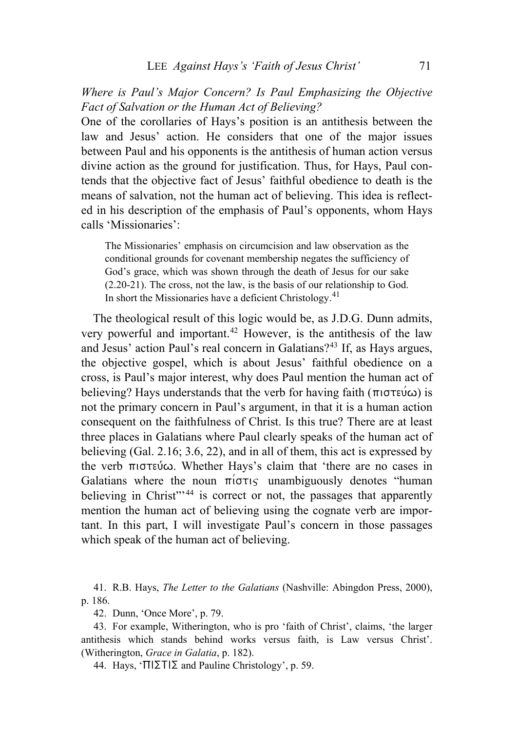# *Where is Paul's Major Concern? Is Paul Emphasizing the Objective Fact of Salvation or the Human Act of Believing?*

One of the corollaries of Hays's position is an antithesis between the law and Jesus' action. He considers that one of the major issues between Paul and his opponents is the antithesis of human action versus divine action as the ground for justification. Thus, for Hays, Paul contends that the objective fact of Jesus' faithful obedience to death is the means of salvation, not the human act of believing. This idea is reflected in his description of the emphasis of Paul's opponents, whom Hays calls 'Missionaries':

The Missionaries' emphasis on circumcision and law observation as the conditional grounds for covenant membership negates the sufficiency of God's grace, which was shown through the death of Jesus for our sake (2.20-21). The cross, not the law, is the basis of our relationship to God. In short the Missionaries have a deficient Christology.[41](#page-20-0)

The theological result of this logic would be, as J.D.G. Dunn admits, very powerful and important.<sup>[42](#page-20-1)</sup> However, is the antithesis of the law and Jesus' action Paul's real concern in Galatians?<sup>[43](#page-20-2)</sup> If, as Hays argues, the objective gospel, which is about Jesus' faithful obedience on a cross, is Paul's major interest, why does Paul mention the human act of believing? Hays understands that the verb for having faith ( $\pi$ ιστεύ $\omega$ ) is not the primary concern in Paul's argument, in that it is a human action consequent on the faithfulness of Christ. Is this true? There are at least three places in Galatians where Paul clearly speaks of the human act of believing (Gal. 2.16; 3.6, 22), and in all of them, this act is expressed by the verb  $\pi$  iotevico. Whether Hays's claim that 'there are no cases in Galatians where the noun  $\pi$ io $\tau$  unambiguously denotes "human" believing in Christ"<sup>[44](#page-20-3)</sup> is correct or not, the passages that apparently mention the human act of believing using the cognate verb are important. In this part, I will investigate Paul's concern in those passages which speak of the human act of believing.

<span id="page-20-0"></span>41. R.B. Hays, *The Letter to the Galatians* (Nashville: Abingdon Press, 2000), p. 186.

42. Dunn, 'Once More', p. 79.

<span id="page-20-3"></span><span id="page-20-2"></span><span id="page-20-1"></span>43. For example, Witherington, who is pro 'faith of Christ', claims, 'the larger antithesis which stands behind works versus faith, is Law versus Christ'. (Witherington, *Grace in Galatia*, p. 182).

44. Hays, ' $\Pi\Sigma\Gamma\Sigma$  and Pauline Christology', p. 59.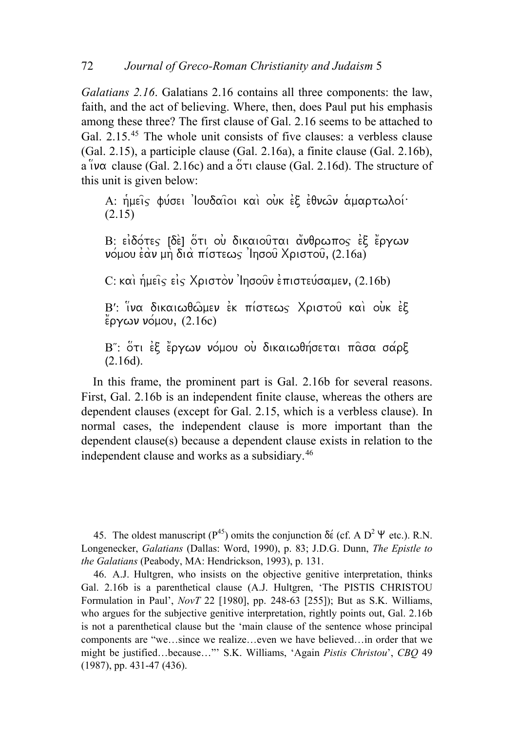*Galatians 2.16*. Galatians 2.16 contains all three components: the law, faith, and the act of believing. Where, then, does Paul put his emphasis among these three? The first clause of Gal. 2.16 seems to be attached to Gal. 2.15.<sup>[45](#page-21-0)</sup> The whole unit consists of five clauses: a verbless clause (Gal. 2.15), a participle clause (Gal. 2.16a), a finite clause (Gal. 2.16b), a  $\theta$ v $\alpha$  clause (Gal. 2.16c) and a  $\theta$ <sup>r</sup> clause (Gal. 2.16d). The structure of this unit is given below:

A: ημείς φύσει 'Ιουδαΐοι και ουκ εξ εθνων αμαρτωλοί· (2.15)

B: ειδότες [δε] ότι ου δικαιούται ανθρωπος εξ έργων  $\nu$ όμου έὰν μὴ διὰ πίστεως 'Ιησοῦ Χριστοῦ, (2.16a)

 $C: \kappa\alpha$ in hueis eis Xpiotov 'Ingouv etrioteu/gauev, (2.16b)

B': ινα δικαιωθώμεν εκ πίστεως Χριστού και ουκ εξ  $\overset{\circ}{\epsilon}$ ργων νόμου, (2.16c)

B": ότι έξ έργων νόμου ου δικαιωθήσεται πασα σάρξ  $(2.16d).$ 

In this frame, the prominent part is Gal. 2.16b for several reasons. First, Gal. 2.16b is an independent finite clause, whereas the others are dependent clauses (except for Gal. 2.15, which is a verbless clause). In normal cases, the independent clause is more important than the dependent clause(s) because a dependent clause exists in relation to the independent clause and works as a subsidiary.[46](#page-21-1)

<span id="page-21-0"></span>45. The ol[de](http://www.perseus.tufts.edu/cgi-bin/morphindex?lang=greek&lookup=de%2F&bytepos=1276111&wordcount=1&embed=2&doc=Perseus%3Atext%3A1999.01.0155)st manuscript ( $P^{45}$ ) omits the conjunction  $\delta \acute{\epsilon}$  (cf. A  $D^2$   $\Psi$  etc.). R.N. Longenecker, *Galatians* (Dallas: Word, 1990), p. 83; J.D.G. Dunn, *The Epistle to the Galatians* (Peabody, MA: Hendrickson, 1993), p. 131.

<span id="page-21-1"></span>46. A.J. Hultgren, who insists on the objective genitive interpretation, thinks Gal. 2.16b is a parenthetical clause (A.J. Hultgren, 'The PISTIS CHRISTOU Formulation in Paul', *NovT* 22 [1980], pp. 248-63 [255]); But as S.K. Williams, who argues for the subjective genitive interpretation, rightly points out, Gal. 2.16b is not a parenthetical clause but the 'main clause of the sentence whose principal components are "we…since we realize…even we have believed…in order that we might be justified…because…"' S.K. Williams, 'Again *Pistis Christou*', *CBQ* 49 (1987), pp. 431-47 (436).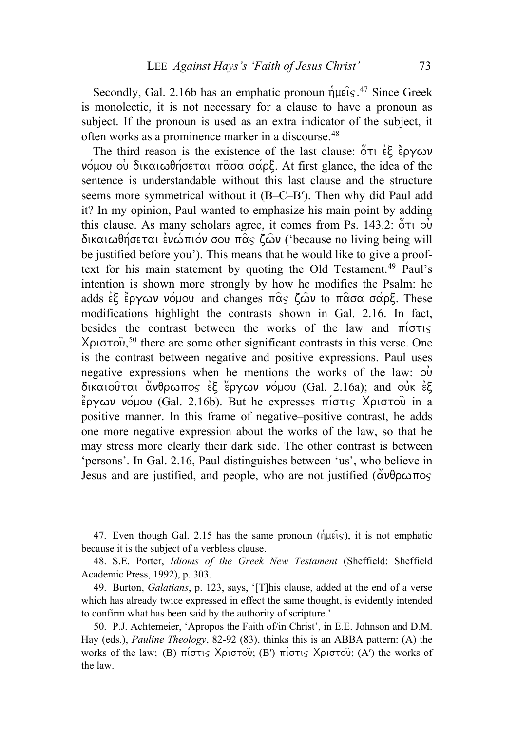Secondly, Gal. 2.16b has an emphatic pronoun  $\hat{\eta}$ µ $\hat{\epsilon}$ is  $\hat{\epsilon}$ <sup>[47](#page-22-0)</sup> Since Greek is monolectic, it is not necessary for a clause to have a pronoun as subject. If the pronoun is used as an extra indicator of the subject, it often works as a prominence marker in a discourse.<sup>[48](#page-22-1)</sup>

The third reason is the existence of the last clause:  $\overline{Q}$  of  $\overline{E}$   $\overline{E}$   $\overline{Q}$   $\overline{Q}$   $\overline{Q}$  $ν$  ομου ου δικαιωθήσεται π $\alpha$ σα σάρξ. At first glance, the idea of the sentence is understandable without this last clause and the structure seems more symmetrical without it (B–C–B′). Then why did Paul add it? In my opinion, Paul wanted to emphasize his main point by adding this clause. As many scholars agree, it comes from Ps. 143.2:  $\overleftrightarrow{\text{O}}\tau\textsubscript{U}$  ov  $\delta$ ικαιωθήσεται ενώπιον σου πας ζων ('because no living being will be justified before you'). This means that he would like to give a proof-text for his main statement by quoting the Old Testament.<sup>[49](#page-22-2)</sup> Paul's intention is shown more strongly by how he modifies the Psalm: he adds  $\epsilon \xi$  epycov vous and changes  $\pi \hat{\alpha} \varsigma$   $\zeta$  and to  $\pi \hat{\alpha} \sigma \alpha$  saps. These modifications highlight the contrasts shown in Gal. 2.16. In fact, besides the contrast between the works of the law and  $\pi i\sigma\tau$  $X$ ριστου,<sup>[50](#page-22-3)</sup> there are some other significant contrasts in this verse. One is the contrast between negative and positive expressions. Paul uses negative expressions when he mentions the works of the law:  $\dot{\rm o}$  $\delta$ ικαιούται άνθρωπος εξ έργων νόμου (Gal. 2.16a); and our εξ  $\ell$ ργων νόμου (Gal. 2.16b). But he expresses πίστις Χριστού in a positive manner. In this frame of negative–positive contrast, he adds one more negative expression about the works of the law, so that he may stress more clearly their dark side. The other contrast is between 'persons'. In Gal. 2.16, Paul distinguishes between 'us', who believe in Jesus and are justified, and people, who are not justified  $(\check{\alpha} \nu \theta \rho \omega \pi o_s)$ 

<span id="page-22-0"></span>47. Even though Gal. 2.15 has the same pronoun ( $\hat{\eta}$ μείς), it is not emphatic because it is the subject of a verbless clause.

<span id="page-22-1"></span>48. S.E. Porter, *Idioms of the Greek New Testament* (Sheffield: Sheffield Academic Press, 1992), p. 303.

<span id="page-22-2"></span>49. Burton, *Galatians*, p. 123, says, '[T]his clause, added at the end of a verse which has already twice expressed in effect the same thought, is evidently intended to confirm what has been said by the authority of scripture.'

<span id="page-22-3"></span>50. P.J. Achtemeier, 'Apropos the Faith of/in Christ', in E.E. Johnson and D.M. Hay (eds.), *Pauline Theology*, 82-92 (83), thinks this is an ABBA pattern: (A) the works of the law; (B)  $\pi$ i $\sigma\tau$ <sub>15</sub>  $X$  $\rho$ ιστου $\sigma$ ; (B')  $\pi$ iστις  $X$  $\rho$ ιστου $\sigma$ ; (A') the works of the law.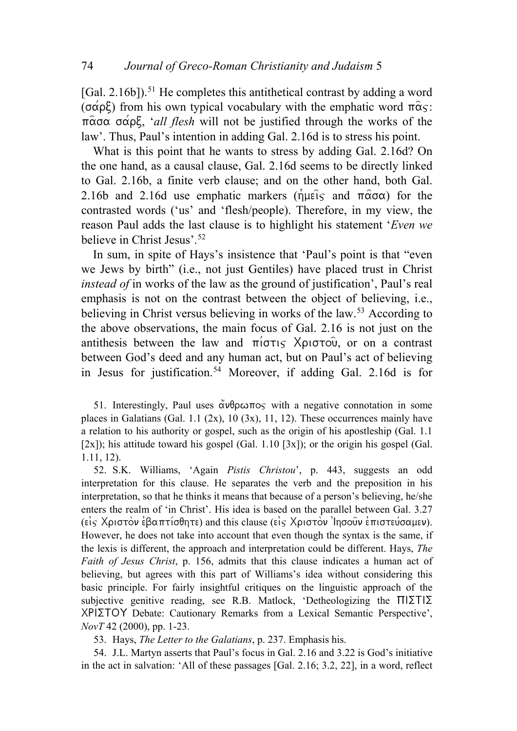[Gal. 2.16b]).<sup>[51](#page-23-0)</sup> He completes this antithetical contrast by adding a word ( $\sigma \alpha \rho \xi$ ) from his own typical vocabulary with the emphatic word  $\pi \alpha$ <sub>S</sub>:  $\pi \hat{\alpha} \sigma \alpha \sigma \hat{\alpha} \rho \xi$ , '*all flesh* will not be justified through the works of the law'. Thus, Paul's intention in adding Gal. 2.16d is to stress his point.

What is this point that he wants to stress by adding Gal. 2.16d? On the one hand, as a causal clause, Gal. 2.16d seems to be directly linked to Gal. 2.16b, a finite verb clause; and on the other hand, both Gal. 2.16b and 2.16d use emphatic markers ( $\hat{n}$ u $\hat{\epsilon}$ ) and  $\hat{\pi}$  $\hat{\alpha}$  $\sigma\alpha$ ) for the contrasted words ('us' and 'flesh/people). Therefore, in my view, the reason Paul adds the last clause is to highlight his statement '*Even we*  believe in Christ Jesus'.[52](#page-23-1)

In sum, in spite of Hays's insistence that 'Paul's point is that "even we Jews by birth" (i.e., not just Gentiles) have placed trust in Christ *instead of* in works of the law as the ground of justification', Paul's real emphasis is not on the contrast between the object of believing, i.e., believing in Christ versus believing in works of the law.[53](#page-23-2) According to the above observations, the main focus of Gal. 2.16 is not just on the antithesis between the law and  $\pi$ iotis Xpiotou, or on a contrast between God's deed and any human act, but on Paul's act of believing in Jesus for justification.<sup>[54](#page-23-3)</sup> Moreover, if adding Gal. 2.16d is for

<span id="page-23-0"></span>51. Interestingly, Paul uses  $\ddot{\alpha} \nu \theta \rho \omega \pi \circ \varsigma$  with a negative connotation in some places in Galatians (Gal. 1.1 (2x), 10 (3x), 11, 12). These occurrences mainly have a relation to his authority or gospel, such as the origin of his apostleship (Gal. 1.1  $[2x]$ ); his attitude toward his gospel (Gal. 1.10  $[3x]$ ); or the origin his gospel (Gal. 1.11, 12).

<span id="page-23-1"></span>52. S.K. Williams, 'Again *Pistis Christou*', p. 443, suggests an odd interpretation for this clause. He separates the verb and the preposition in his interpretation, so that he thinks it means that because of a person's believing, he/she enters the realm of 'in Christ'. His idea is based on the parallel between Gal. 3.27 (είς Χριστον έβαπτίσθητε) and this clause (είς Χριστον 'Ιησούν επιστεύσαμεν). However, he does not take into account that even though the syntax is the same, if the lexis is different, the approach and interpretation could be different. Hays, *The Faith of Jesus Christ*, p. 156, admits that this clause indicates a human act of believing, but agrees with this part of Williams's idea without considering this basic principle. For fairly insightful critiques on the linguistic approach of the subjective genitive reading, see R.B. Matlock, 'Detheologizing the  $\Pi$ | $\Sigma$ T| $\Sigma$ XPIΣTOY Debate: Cautionary Remarks from a Lexical Semantic Perspective', *NovT* 42 (2000), pp. 1-23.

53. Hays, *The Letter to the Galatians*, p. 237. Emphasis his.

<span id="page-23-3"></span><span id="page-23-2"></span>54. J.L. Martyn asserts that Paul's focus in Gal. 2.16 and 3.22 is God's initiative in the act in salvation: 'All of these passages [Gal. 2.16; 3.2, 22], in a word, reflect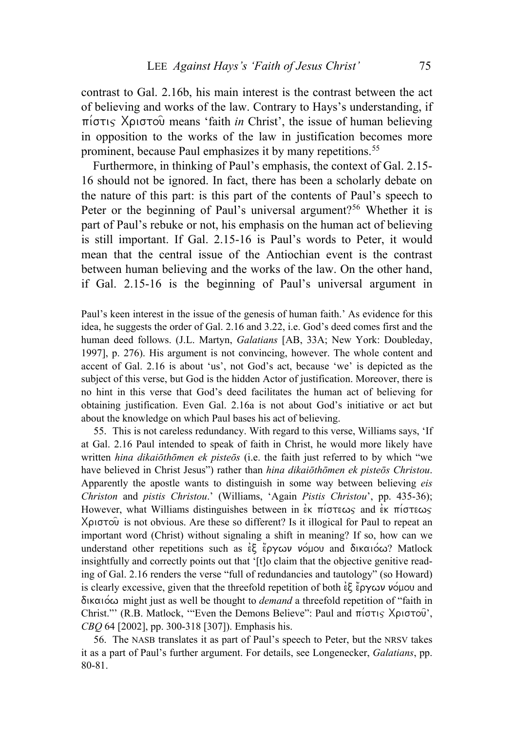contrast to Gal. 2.16b, his main interest is the contrast between the act of believing and works of the law. Contrary to Hays's understanding, if  $\pi$ i $\sigma\tau$ <sub>i</sub> X $\rho$ <sub>i</sub> $\sigma\tau$ <sup>o</sup> means 'faith *in* Christ', the issue of human believing in opposition to the works of the law in justification becomes more prominent, because Paul emphasizes it by many repetitions.<sup>[55](#page-24-0)</sup>

Furthermore, in thinking of Paul's emphasis, the context of Gal. 2.15- 16 should not be ignored. In fact, there has been a scholarly debate on the nature of this part: is this part of the contents of Paul's speech to Peter or the beginning of Paul's universal argument?<sup>[56](#page-24-1)</sup> Whether it is part of Paul's rebuke or not, his emphasis on the human act of believing is still important. If Gal. 2.15-16 is Paul's words to Peter, it would mean that the central issue of the Antiochian event is the contrast between human believing and the works of the law. On the other hand, if Gal. 2.15-16 is the beginning of Paul's universal argument in

Paul's keen interest in the issue of the genesis of human faith.' As evidence for this idea, he suggests the order of Gal. 2.16 and 3.22, i.e. God's deed comes first and the human deed follows. (J.L. Martyn, *Galatians* [AB, 33A; New York: Doubleday, 1997], p. 276). His argument is not convincing, however. The whole content and accent of Gal. 2.16 is about 'us', not God's act, because 'we' is depicted as the subject of this verse, but God is the hidden Actor of justification. Moreover, there is no hint in this verse that God's deed facilitates the human act of believing for obtaining justification. Even Gal. 2.16a is not about God's initiative or act but about the knowledge on which Paul bases his act of believing.

<span id="page-24-0"></span>55. This is not careless redundancy. With regard to this verse, Williams says, 'If at Gal. 2.16 Paul intended to speak of faith in Christ, he would more likely have written *hina dikaiōthōmen ek pisteōs* (i.e. the faith just referred to by which "we have believed in Christ Jesus") rather than *hina dikaiōthōmen ek pisteōs Christou*. Apparently the apostle wants to distinguish in some way between believing *eis Christon* and *pistis Christou*.' (Williams, 'Again *Pistis Christou*', pp. 435-36); However, what Williams distinguishes between in  $\epsilon$ <sub>K</sub>  $\pi$ *i* $\sigma$  $\epsilon$ <sub>K</sub>  $\sigma$ <sup>2</sup> $\epsilon$ <sub>K</sub>  $\pi$ *i* $\sigma$  $\epsilon$ <sub>M</sub> $\epsilon$ <sub>S</sub><sup> $\epsilon$ </sup>  $X$ ριστού is not obvious. Are these so different? Is it illogical for Paul to repeat an important word (Christ) without signaling a shift in meaning? If so, how can we understand other repetitions such as  $\epsilon\xi$  έργων νόμου and δικαιόω? Matlock insightfully and correctly points out that '[t]o claim that the objective genitive reading of Gal. 2.16 renders the verse "full of redundancies and tautology" (so Howard) is clearly excessive, given that the threefold repetition of both  $\epsilon \xi$   $\zeta$   $\sim$   $\epsilon$  $\gamma$   $\omega$   $\nu$   $\sim$   $\omega$  and [dikaio/w](http://www.perseus.tufts.edu/cgi-bin/morphindex?lang=greek&lookup=dikaiwqw%3Dmen&bytepos=1270490&wordcount=1&embed=2&doc=Perseus%3Atext%3A1999.01.0155) might just as well be thought to *demand* a threefold repetition of "faith in Christ."" (R.B. Matlock, "Even the Demons Believe": Paul and  $\pi(\sigma\tau)$ ,  $X\rho\sigma\sigma\sigma\sigma'$ , *CBQ* 64 [2002], pp. 300-318 [307]). Emphasis his.

<span id="page-24-1"></span>56. The NASB translates it as part of Paul's speech to Peter, but the NRSV takes it as a part of Paul's further argument. For details, see Longenecker, *Galatians*, pp. 80-81.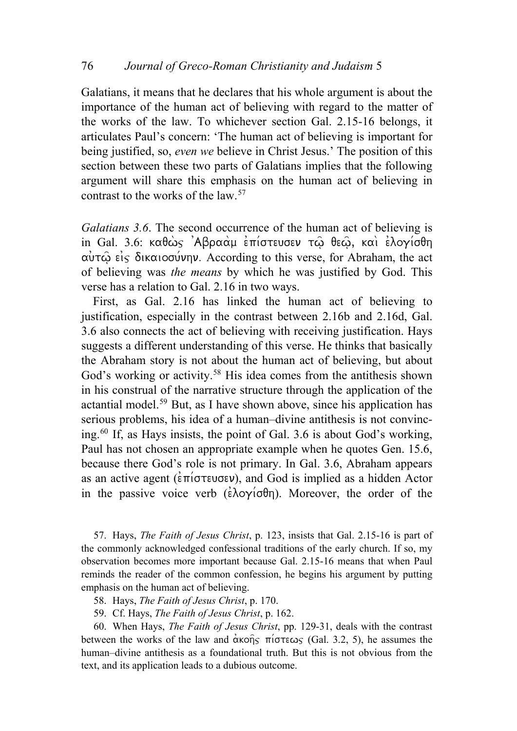Galatians, it means that he declares that his whole argument is about the importance of the human act of believing with regard to the matter of the works of the law. To whichever section Gal. 2.15-16 belongs, it articulates Paul's concern: 'The human act of believing is important for being justified, so, *even we* believe in Christ Jesus.' The position of this section between these two parts of Galatians implies that the following argument will share this emphasis on the human act of believing in contrast to the works of the law.[57](#page-25-0)

*Galatians 3.6*. The second occurrence of the human act of believing is in Gal. 3.6: καθώς 'Αβραάμ επίστευσεν τω θεω, και ελογίσθη  $\alpha$   $\alpha$   $\beta$   $\beta$   $\alpha$  and  $\alpha$  and  $\alpha$  are according to this verse, for Abraham, the act of believing was *the means* by which he was justified by God. This verse has a relation to Gal. 2.16 in two ways.

First, as Gal. 2.16 has linked the human act of believing to justification, especially in the contrast between 2.16b and 2.16d, Gal. 3.6 also connects the act of believing with receiving justification. Hays suggests a different understanding of this verse. He thinks that basically the Abraham story is not about the human act of believing, but about God's working or activity.<sup>[58](#page-25-1)</sup> His idea comes from the antithesis shown in his construal of the narrative structure through the application of the actantial model.[59](#page-25-2) But, as I have shown above, since his application has serious problems, his idea of a human–divine antithesis is not convincing.[60](#page-25-3) If, as Hays insists, the point of Gal. 3.6 is about God's working, Paul has not chosen an appropriate example when he quotes Gen. 15.6, because there God's role is not primary. In Gal. 3.6, Abraham appears as an active agent ( $\epsilon \pi$ i $\sigma \tau \in \mathcal{V}$ ), and God is implied as a hidden Actor in the passive voice verb ( $\epsilon \lambda o \gamma o \theta \eta$ ). Moreover, the order of the

<span id="page-25-0"></span>57. Hays, *The Faith of Jesus Christ*, p. 123, insists that Gal. 2.15-16 is part of the commonly acknowledged confessional traditions of the early church. If so, my observation becomes more important because Gal. 2.15-16 means that when Paul reminds the reader of the common confession, he begins his argument by putting emphasis on the human act of believing.

- 58. Hays, *The Faith of Jesus Christ*, p. 170.
- 59. Cf. Hays, *The Faith of Jesus Christ*, p. 162.

<span id="page-25-3"></span><span id="page-25-2"></span><span id="page-25-1"></span>60. When Hays, *The Faith of Jesus Christ*, pp. 129-31, deals with the contrast between the works of the law and  $\alpha$ kohs  $\pi$ iotews (Gal. 3.2, 5), he assumes the human–divine antithesis as a foundational truth. But this is not obvious from the text, and its application leads to a dubious outcome.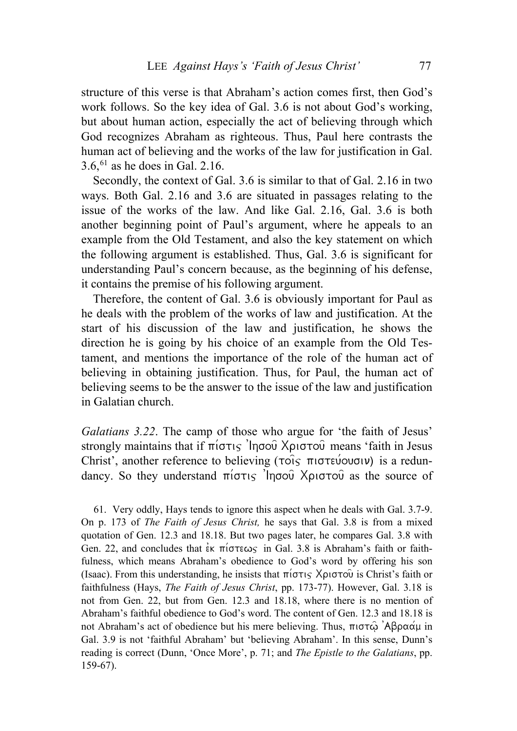structure of this verse is that Abraham's action comes first, then God's work follows. So the key idea of Gal. 3.6 is not about God's working, but about human action, especially the act of believing through which God recognizes Abraham as righteous. Thus, Paul here contrasts the human act of believing and the works of the law for justification in Gal.  $3.6<sup>61</sup>$  $3.6<sup>61</sup>$  $3.6<sup>61</sup>$  as he does in Gal. 2.16.

Secondly, the context of Gal. 3.6 is similar to that of Gal. 2.16 in two ways. Both Gal. 2.16 and 3.6 are situated in passages relating to the issue of the works of the law. And like Gal. 2.16, Gal. 3.6 is both another beginning point of Paul's argument, where he appeals to an example from the Old Testament, and also the key statement on which the following argument is established. Thus, Gal. 3.6 is significant for understanding Paul's concern because, as the beginning of his defense, it contains the premise of his following argument.

Therefore, the content of Gal. 3.6 is obviously important for Paul as he deals with the problem of the works of law and justification. At the start of his discussion of the law and justification, he shows the direction he is going by his choice of an example from the Old Testament, and mentions the importance of the role of the human act of believing in obtaining justification. Thus, for Paul, the human act of believing seems to be the answer to the issue of the law and justification in Galatian church.

*Galatians 3.22*. The camp of those who argue for 'the faith of Jesus' strongly maintains that if  $\pi(\sigma\tau)$  'Ingou Xprotou' means 'faith in Jesus Christ', another reference to believing ( $\tau$ ois  $\pi$ ιστεύουσιν) is a redundancy. So they understand  $\pi(\sigma\tau)$  'Ingou Xpi $\sigma\sigma$  as the source of

<span id="page-26-0"></span>61. Very oddly, Hays tends to ignore this aspect when he deals with Gal. 3.7-9. On p. 173 of *The Faith of Jesus Christ,* he says that Gal. 3.8 is from a mixed quotation of Gen. 12.3 and 18.18. But two pages later, he compares Gal. 3.8 with Gen. 22, and concludes that  $\epsilon$ <sup>k</sup>  $\pi$ i $\sigma$ teωs in Gal. 3.8 is Abraham's faith or faithfulness, which means Abraham's obedience to God's word by offering his son (Isaac). From this understanding, he insists that  $\pi(\sigma\tau)$  X $\rho\sigma\sigma\tilde{\omega}$  is Christ's faith or faithfulness (Hays, *The Faith of Jesus Christ*, pp. 173-77). However, Gal. 3.18 is not from Gen. 22, but from Gen. 12.3 and 18.18, where there is no mention of Abraham's faithful obedience to God's word. The content of Gen. 12.3 and 18.18 is not Abraham's act of obedience but his mere believing. Thus, πιστώ 'Aβραάμ in Gal. 3.9 is not 'faithful Abraham' but 'believing Abraham'. In this sense, Dunn's reading is correct (Dunn, 'Once More', p. 71; and *The Epistle to the Galatians*, pp. 159-67).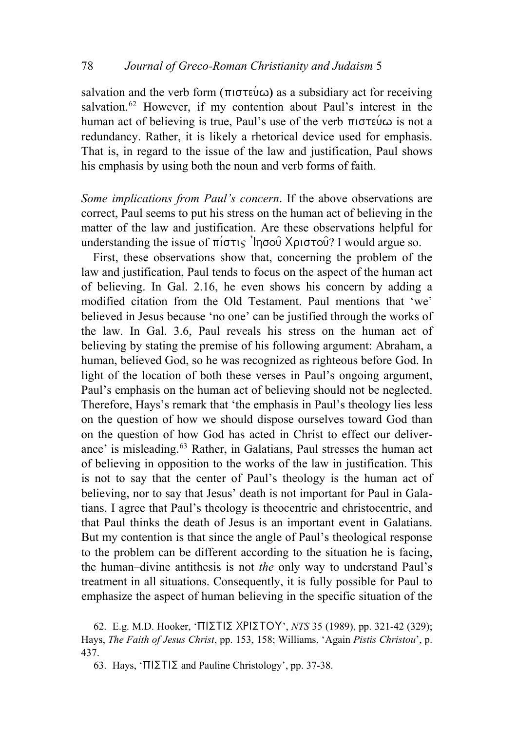salvation and the verb form  $(\pi \circ \sigma \circ \omega)$  as a subsidiary act for receiving salvation.<sup>[62](#page-27-0)</sup> However, if my contention about Paul's interest in the human act of believing is true, Paul's use of the verb  $\pi$  is not a redundancy. Rather, it is likely a rhetorical device used for emphasis. That is, in regard to the issue of the law and justification, Paul shows his emphasis by using both the noun and verb forms of faith.

*Some implications from Paul's concern*. If the above observations are correct, Paul seems to put his stress on the human act of believing in the matter of the law and justification. Are these observations helpful for understanding the issue of  $\pi(\sigma\tau)$  'Ingou Xpi $\sigma\tau$ ou? I would argue so.

First, these observations show that, concerning the problem of the law and justification, Paul tends to focus on the aspect of the human act of believing. In Gal. 2.16, he even shows his concern by adding a modified citation from the Old Testament. Paul mentions that 'we' believed in Jesus because 'no one' can be justified through the works of the law. In Gal. 3.6, Paul reveals his stress on the human act of believing by stating the premise of his following argument: Abraham, a human, believed God, so he was recognized as righteous before God. In light of the location of both these verses in Paul's ongoing argument, Paul's emphasis on the human act of believing should not be neglected. Therefore, Hays's remark that 'the emphasis in Paul's theology lies less on the question of how we should dispose ourselves toward God than on the question of how God has acted in Christ to effect our deliver-ance' is misleading.<sup>[63](#page-27-1)</sup> Rather, in Galatians, Paul stresses the human act of believing in opposition to the works of the law in justification. This is not to say that the center of Paul's theology is the human act of believing, nor to say that Jesus' death is not important for Paul in Galatians. I agree that Paul's theology is theocentric and christocentric, and that Paul thinks the death of Jesus is an important event in Galatians. But my contention is that since the angle of Paul's theological response to the problem can be different according to the situation he is facing, the human–divine antithesis is not *the* only way to understand Paul's treatment in all situations. Consequently, it is fully possible for Paul to emphasize the aspect of human believing in the specific situation of the

<span id="page-27-1"></span><span id="page-27-0"></span>62. E.g. M.D. Hooker, 'ΠΙΣΤΙΣ ΧΡΙΣΤΟΥ', *NTS* 35 (1989), pp. 321-42 (329); Hays, *The Faith of Jesus Christ*, pp. 153, 158; Williams, 'Again *Pistis Christou*', p. 437.

63. Hays, ' $\Pi$ | $\Sigma$ T| $\Sigma$  and Pauline Christology', pp. 37-38.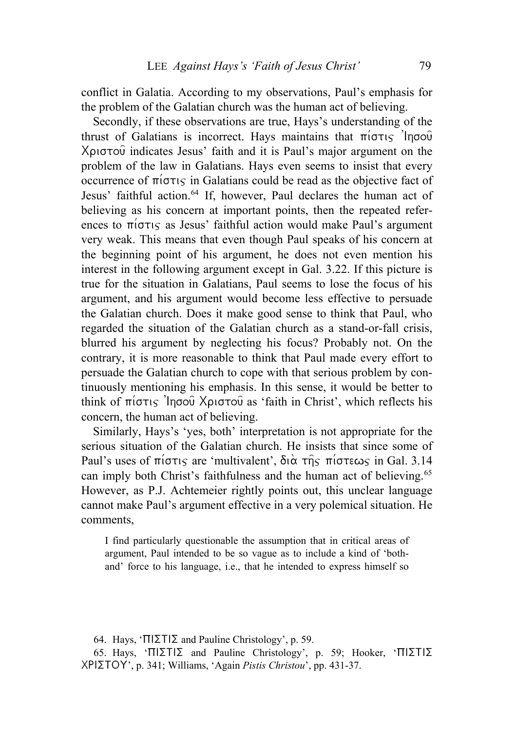conflict in Galatia. According to my observations, Paul's emphasis for the problem of the Galatian church was the human act of believing.

Secondly, if these observations are true, Hays's understanding of the thrust of Galatians is incorrect. Hays maintains that  $\pi$ io $\tau$ is 'Inoou  $Xριστού$  indicates Jesus' faith and it is Paul's major argument on the problem of the law in Galatians. Hays even seems to insist that every occurrence of  $\pi$ i $\sigma\tau$ <sub>s</sub> in Galatians could be read as the objective fact of Jesus' faithful action.<sup>[64](#page-28-0)</sup> If, however, Paul declares the human act of believing as his concern at important points, then the repeated references to  $\pi$ i $\sigma\tau$  as Jesus' faithful action would make Paul's argument very weak. This means that even though Paul speaks of his concern at the beginning point of his argument, he does not even mention his interest in the following argument except in Gal. 3.22. If this picture is true for the situation in Galatians, Paul seems to lose the focus of his argument, and his argument would become less effective to persuade the Galatian church. Does it make good sense to think that Paul, who regarded the situation of the Galatian church as a stand-or-fall crisis, blurred his argument by neglecting his focus? Probably not. On the contrary, it is more reasonable to think that Paul made every effort to persuade the Galatian church to cope with that serious problem by continuously mentioning his emphasis. In this sense, it would be better to think of pi/stij 'Ihsou= Xristou= as 'faith in Christ', which reflects his concern, the human act of believing.

Similarly, Hays's 'yes, both' interpretation is not appropriate for the serious situation of the Galatian church. He insists that since some of Paul's uses of  $\pi$ io $\tau$  are 'multivalent',  $\delta$  $\alpha$   $\tau$  $\hat{\eta}$  $\varsigma$   $\pi$ io $\tau$  $\epsilon \omega$  $\varsigma$  in Gal. 3.14 can imply both Christ's faithfulness and the human act of believing.<sup>[65](#page-28-1)</sup> However, as P.J. Achtemeier rightly points out, this unclear language cannot make Paul's argument effective in a very polemical situation. He comments,

I find particularly questionable the assumption that in critical areas of argument, Paul intended to be so vague as to include a kind of 'bothand' force to his language, i.e., that he intended to express himself so

<sup>64.</sup> Hays, ' $\Pi$ | $\Sigma$ T| $\Sigma$  and Pauline Christology', p. 59.

<span id="page-28-1"></span><span id="page-28-0"></span><sup>65.</sup> Hays, ' $\Pi$ | $\Sigma$ T| $\Sigma$  and Pauline Christology', p. 59; Hooker, ' $\Pi$ | $\Sigma$ T| $\Sigma$ XRISTOU', p. 341; Williams, 'Again *Pistis Christou*', pp. 431-37.